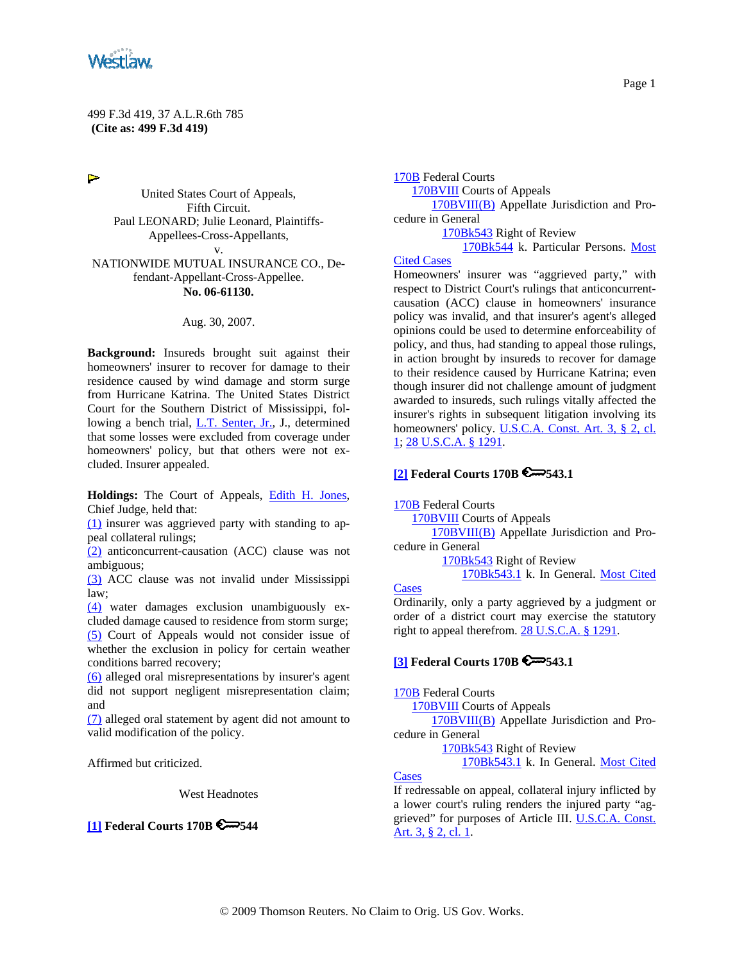

Þ

United States Court of Appeals, Fifth Circuit. Paul LEONARD; Julie Leonard, Plaintiffs-Appellees-Cross-Appellants, v. NATIONWIDE MUTUAL INSURANCE CO., De-

#### fendant-Appellant-Cross-Appellee. **No. 06-61130.**

#### Aug. 30, 2007.

**Background:** Insureds brought suit against their homeowners' insurer to recover for damage to their residence caused by wind damage and storm surge from Hurricane Katrina. The United States District Court for the Southern District of Mississippi, following a bench trial, L.T. Senter, Jr., J., determined that some losses were excluded from coverage under homeowners' policy, but that others were not excluded. Insurer appealed.

**Holdings:** The Court of Appeals, Edith H. Jones, Chief Judge, held that:

(1) insurer was aggrieved party with standing to appeal collateral rulings;

(2) anticoncurrent-causation (ACC) clause was not ambiguous;

(3) ACC clause was not invalid under Mississippi law;

(4) water damages exclusion unambiguously excluded damage caused to residence from storm surge; (5) Court of Appeals would not consider issue of whether the exclusion in policy for certain weather conditions barred recovery;

(6) alleged oral misrepresentations by insurer's agent did not support negligent misrepresentation claim; and

(7) alleged oral statement by agent did not amount to valid modification of the policy.

Affirmed but criticized.

West Headnotes

**[1] Federal Courts 170B 544**

170B Federal Courts 170BVIII Courts of Appeals 170BVIII(B) Appellate Jurisdiction and Procedure in General 170Bk543 Right of Review 170Bk544 k. Particular Persons. Most

#### Cited Cases

Homeowners' insurer was "aggrieved party," with respect to District Court's rulings that anticoncurrentcausation (ACC) clause in homeowners' insurance policy was invalid, and that insurer's agent's alleged opinions could be used to determine enforceability of policy, and thus, had standing to appeal those rulings, in action brought by insureds to recover for damage to their residence caused by Hurricane Katrina; even though insurer did not challenge amount of judgment awarded to insureds, such rulings vitally affected the insurer's rights in subsequent litigation involving its homeowners' policy. U.S.C.A. Const. Art. 3, § 2, cl. 1; 28 U.S.C.A. § 1291.

### **[2] Federal Courts 170B 543.1**

170B Federal Courts

170BVIII Courts of Appeals

 170BVIII(B) Appellate Jurisdiction and Procedure in General

> 170Bk543 Right of Review 170Bk543.1 k. In General. Most Cited

#### **Cases**

Ordinarily, only a party aggrieved by a judgment or order of a district court may exercise the statutory right to appeal therefrom. 28 U.S.C.A. § 1291.

### **[3] Federal Courts 170B 543.1**

170B Federal Courts

170BVIII Courts of Appeals

 170BVIII(B) Appellate Jurisdiction and Procedure in General

170Bk543 Right of Review

170Bk543.1 k. In General. Most Cited

**Cases** 

If redressable on appeal, collateral injury inflicted by a lower court's ruling renders the injured party "aggrieved" for purposes of Article III. U.S.C.A. Const. Art. 3, § 2, cl. 1.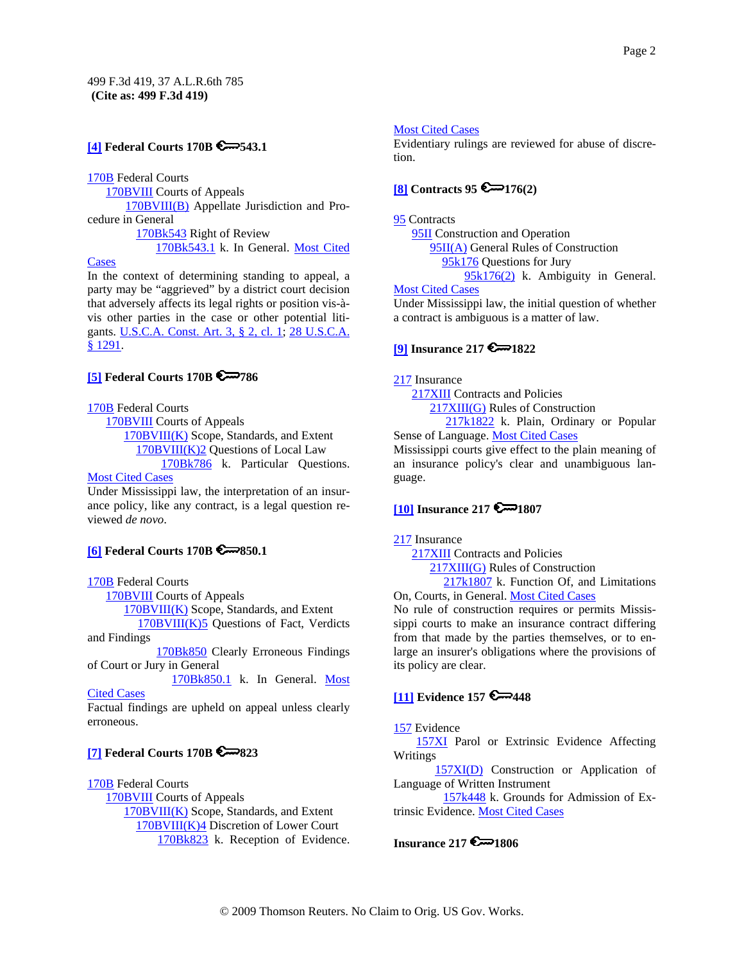# **[4] Federal Courts 170B 543.1**

170B Federal Courts

170BVIII Courts of Appeals

170BVIII(B) Appellate Jurisdiction and Procedure in General

170Bk543 Right of Review

170Bk543.1 k. In General. Most Cited

#### Cases

In the context of determining standing to appeal, a party may be "aggrieved" by a district court decision that adversely affects its legal rights or position vis-àvis other parties in the case or other potential litigants. U.S.C.A. Const. Art. 3, § 2, cl. 1; 28 U.S.C.A. § 1291.

### **[5] Federal Courts 170B & 786**

170B Federal Courts

 170BVIII Courts of Appeals 170BVIII(K) Scope, Standards, and Extent 170BVIII(K)2 Questions of Local Law 170Bk786 k. Particular Questions. Most Cited Cases

Under Mississippi law, the interpretation of an insurance policy, like any contract, is a legal question reviewed *de novo*.

# **[6] Federal Courts 170B 650.1**

### 170B Federal Courts

170BVIII Courts of Appeals

170BVIII(K) Scope, Standards, and Extent

 170BVIII(K)5 Questions of Fact, Verdicts and Findings

170Bk850 Clearly Erroneous Findings of Court or Jury in General

 170Bk850.1 k. In General. Most **Cited Cases** 

Factual findings are upheld on appeal unless clearly erroneous.

# **[7] Federal Courts 170B 823**

170B Federal Courts 170BVIII Courts of Appeals 170BVIII(K) Scope, Standards, and Extent 170BVIII(K)4 Discretion of Lower Court 170Bk823 k. Reception of Evidence.

### Most Cited Cases

Evidentiary rulings are reviewed for abuse of discretion.

# **[8] Contracts 95 6 176(2)**

#### 95 Contracts

 95II Construction and Operation 95II(A) General Rules of Construction 95k176 Questions for Jury 95k176(2) k. Ambiguity in General.

#### Most Cited Cases

Under Mississippi law, the initial question of whether a contract is ambiguous is a matter of law.

# **[9] Insurance 217 6 222**

#### 217 Insurance

 217XIII Contracts and Policies 217XIII(G) Rules of Construction

 217k1822 k. Plain, Ordinary or Popular Sense of Language. Most Cited Cases

Mississippi courts give effect to the plain meaning of an insurance policy's clear and unambiguous language.

# **[10] Insurance 217 6 1807**

### 217 Insurance

217XIII Contracts and Policies

217XIII(G) Rules of Construction

217k1807 k. Function Of, and Limitations On, Courts, in General. Most Cited Cases

No rule of construction requires or permits Mississippi courts to make an insurance contract differing from that made by the parties themselves, or to enlarge an insurer's obligations where the provisions of its policy are clear.

# **[11] Evidence 157 6**-448

### 157 Evidence

 157XI Parol or Extrinsic Evidence Affecting Writings

 157XI(D) Construction or Application of Language of Written Instrument

 157k448 k. Grounds for Admission of Extrinsic Evidence. Most Cited Cases

### **Insurance 217 6 1806**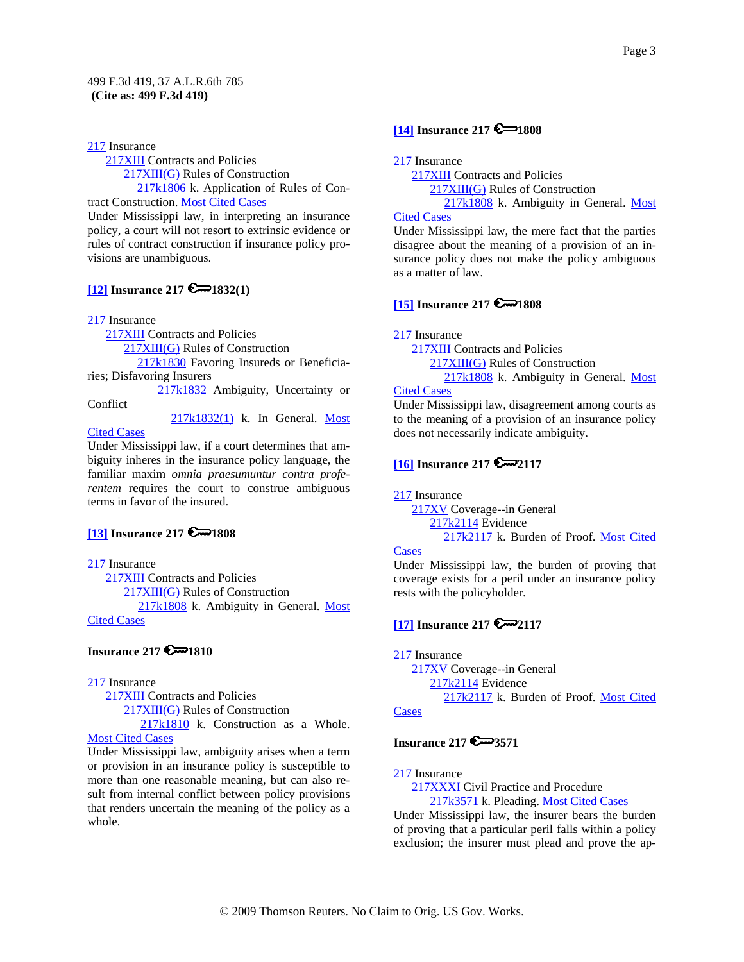217 Insurance

 217XIII Contracts and Policies 217XIII(G) Rules of Construction 217k1806 k. Application of Rules of Contract Construction. Most Cited Cases

Under Mississippi law, in interpreting an insurance policy, a court will not resort to extrinsic evidence or rules of contract construction if insurance policy provisions are unambiguous.

### **[12] Insurance 217 @**1832(1)

217 Insurance

217XIII Contracts and Policies

217XIII(G) Rules of Construction

 217k1830 Favoring Insureds or Beneficiaries; Disfavoring Insurers

 217k1832 Ambiguity, Uncertainty or Conflict

217k1832(1) k. In General. Most

Cited Cases

Under Mississippi law, if a court determines that ambiguity inheres in the insurance policy language, the familiar maxim *omnia praesumuntur contra proferentem* requires the court to construe ambiguous terms in favor of the insured.

### **[13] Insurance 217 6 - 1808**

217 Insurance

 217XIII Contracts and Policies 217XIII(G) Rules of Construction 217k1808 k. Ambiguity in General. Most Cited Cases

# **Insurance 217 6 1810**

# 217 Insurance

 217XIII Contracts and Policies 217XIII(G) Rules of Construction

217k1810 k. Construction as a Whole.

# **Most Cited Cases**

Under Mississippi law, ambiguity arises when a term or provision in an insurance policy is susceptible to more than one reasonable meaning, but can also result from internal conflict between policy provisions that renders uncertain the meaning of the policy as a whole.

# **[14] Insurance 217 @**1808

217 Insurance

 217XIII Contracts and Policies 217XIII(G) Rules of Construction

 217k1808 k. Ambiguity in General. Most Cited Cases

Under Mississippi law, the mere fact that the parties disagree about the meaning of a provision of an insurance policy does not make the policy ambiguous as a matter of law.

# **[15] Insurance 217**  $\approx$  **1808**

217 Insurance

 217XIII Contracts and Policies 217XIII(G) Rules of Construction 217k1808 k. Ambiguity in General. Most

#### Cited Cases

Under Mississippi law, disagreement among courts as to the meaning of a provision of an insurance policy does not necessarily indicate ambiguity.

### **[16] Insurance 217 22117**

217 Insurance

 217XV Coverage--in General 217k2114 Evidence 217k2117 k. Burden of Proof. Most Cited

#### **Cases**

Under Mississippi law, the burden of proving that coverage exists for a peril under an insurance policy rests with the policyholder.

# **[17] Insurance 217 2117**

217 Insurance

 217XV Coverage--in General 217k2114 Evidence 217k2117 k. Burden of Proof. Most Cited **Cases** 

# **Insurance 217 3571**

217 Insurance

217XXXI Civil Practice and Procedure 217k3571 k. Pleading. Most Cited Cases

Under Mississippi law, the insurer bears the burden of proving that a particular peril falls within a policy exclusion; the insurer must plead and prove the ap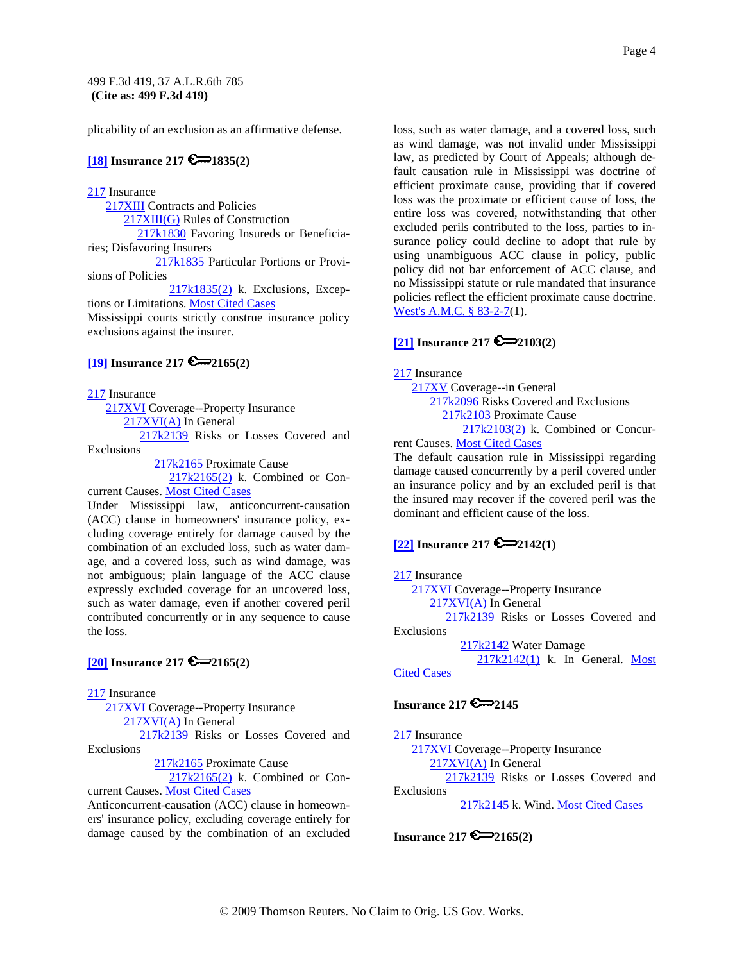plicability of an exclusion as an affirmative defense.

### **[18] Insurance 217 @**1835(2)

217 Insurance

 217XIII Contracts and Policies 217XIII(G) Rules of Construction 217k1830 Favoring Insureds or Beneficiaries; Disfavoring Insurers 217k1835 Particular Portions or Provisions of Policies 217k1835(2) k. Exclusions, Excep-

tions or Limitations. Most Cited Cases Mississippi courts strictly construe insurance policy exclusions against the insurer.

### **[19] Insurance 217 2165(2)**

217 Insurance

 217XVI Coverage--Property Insurance 217XVI(A) In General

 217k2139 Risks or Losses Covered and Exclusions

217k2165 Proximate Cause

 217k2165(2) k. Combined or Concurrent Causes. Most Cited Cases

Under Mississippi law, anticoncurrent-causation (ACC) clause in homeowners' insurance policy, excluding coverage entirely for damage caused by the combination of an excluded loss, such as water damage, and a covered loss, such as wind damage, was not ambiguous; plain language of the ACC clause expressly excluded coverage for an uncovered loss, such as water damage, even if another covered peril contributed concurrently or in any sequence to cause the loss.

### **[20] Insurance 217 2165(2)**

217 Insurance

217XVI Coverage--Property Insurance 217XVI(A) In General 217k2139 Risks or Losses Covered and Exclusions

217k2165 Proximate Cause

 217k2165(2) k. Combined or Concurrent Causes. Most Cited Cases

Anticoncurrent-causation (ACC) clause in homeowners' insurance policy, excluding coverage entirely for damage caused by the combination of an excluded loss, such as water damage, and a covered loss, such as wind damage, was not invalid under Mississippi law, as predicted by Court of Appeals; although default causation rule in Mississippi was doctrine of efficient proximate cause, providing that if covered loss was the proximate or efficient cause of loss, the entire loss was covered, notwithstanding that other excluded perils contributed to the loss, parties to insurance policy could decline to adopt that rule by using unambiguous ACC clause in policy, public policy did not bar enforcement of ACC clause, and no Mississippi statute or rule mandated that insurance policies reflect the efficient proximate cause doctrine. West's A.M.C. § 83-2-7(1).

# **[21] Insurance 217 2103(2)**

217 Insurance

 217XV Coverage--in General 217k2096 Risks Covered and Exclusions 217k2103 Proximate Cause 217k2103(2) k. Combined or Concur-

rent Causes. Most Cited Cases

The default causation rule in Mississippi regarding damage caused concurrently by a peril covered under an insurance policy and by an excluded peril is that the insured may recover if the covered peril was the dominant and efficient cause of the loss.

# **[22] Insurance 217 2142(1)**

#### 217 Insurance

217XVI Coverage--Property Insurance

217XVI(A) In General

 217k2139 Risks or Losses Covered and Exclusions

217k2142 Water Damage

 217k2142(1) k. In General. Most Cited Cases

# **Insurance 217 2145**

217 Insurance 217XVI Coverage--Property Insurance 217XVI(A) In General 217k2139 Risks or Losses Covered and Exclusions 217k2145 k. Wind. Most Cited Cases

# **Insurance 217 2165(2)**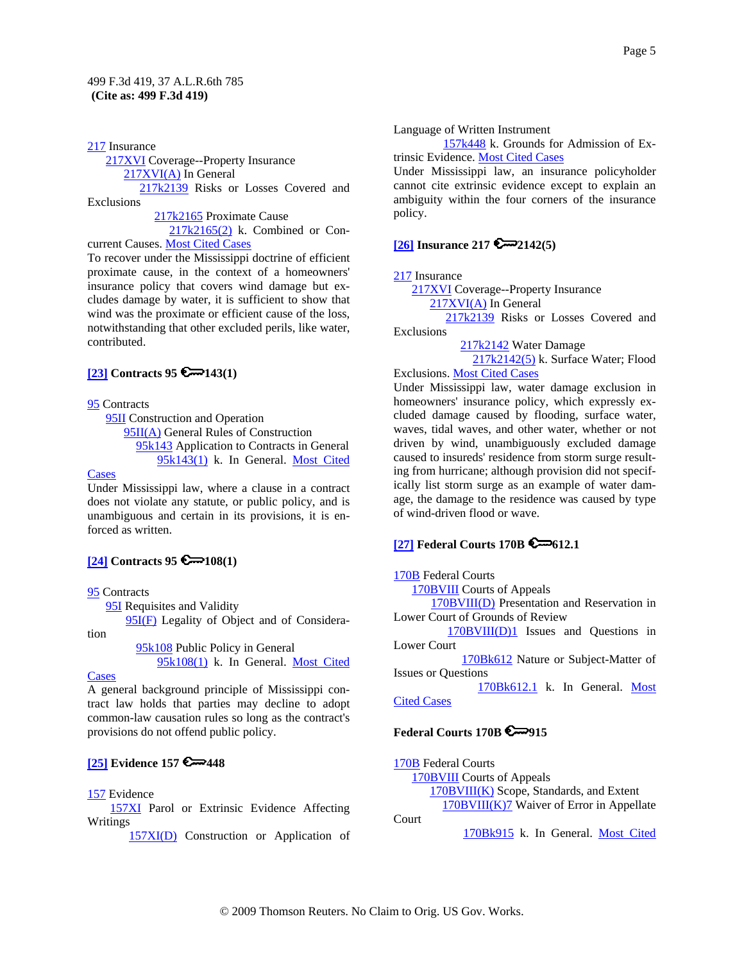217 Insurance 217XVI Coverage--Property Insurance 217XVI(A) In General 217k2139 Risks or Losses Covered and Exclusions

 217k2165 Proximate Cause 217k2165(2) k. Combined or Con-

current Causes. Most Cited Cases

To recover under the Mississippi doctrine of efficient proximate cause, in the context of a homeowners' insurance policy that covers wind damage but excludes damage by water, it is sufficient to show that wind was the proximate or efficient cause of the loss, notwithstanding that other excluded perils, like water, contributed.

### **[23] Contracts 95**  $\mathbb{C}$  143(1)

95 Contracts

**95II** Construction and Operation 95II(A) General Rules of Construction 95k143 Application to Contracts in General 95k143(1) k. In General. Most Cited

#### Cases

Under Mississippi law, where a clause in a contract does not violate any statute, or public policy, and is unambiguous and certain in its provisions, it is enforced as written.

# $[24]$  Contracts 95

#### 95 Contracts

95I Requisites and Validity

95I(F) Legality of Object and of Considera-

 95k108 Public Policy in General 95k108(1) k. In General. Most Cited

#### Cases

tion

A general background principle of Mississippi contract law holds that parties may decline to adopt common-law causation rules so long as the contract's provisions do not offend public policy.

### **[25] Evidence 157 € 448**

### 157 Evidence

 157XI Parol or Extrinsic Evidence Affecting Writings

157XI(D) Construction or Application of

Language of Written Instrument

 157k448 k. Grounds for Admission of Extrinsic Evidence. Most Cited Cases

Under Mississippi law, an insurance policyholder cannot cite extrinsic evidence except to explain an ambiguity within the four corners of the insurance policy.

### **[26] Insurance 217 2142(5)**

217 Insurance

217XVI Coverage--Property Insurance

217XVI(A) In General

 217k2139 Risks or Losses Covered and Exclusions

217k2142 Water Damage

 217k2142(5) k. Surface Water; Flood Exclusions. Most Cited Cases

Under Mississippi law, water damage exclusion in homeowners' insurance policy, which expressly excluded damage caused by flooding, surface water, waves, tidal waves, and other water, whether or not driven by wind, unambiguously excluded damage caused to insureds' residence from storm surge resulting from hurricane; although provision did not specifically list storm surge as an example of water damage, the damage to the residence was caused by type of wind-driven flood or wave.

### **[27] Federal Courts 170B 6-612.1**

170B Federal Courts

170BVIII Courts of Appeals

 170BVIII(D) Presentation and Reservation in Lower Court of Grounds of Review

 170BVIII(D)1 Issues and Questions in Lower Court

 170Bk612 Nature or Subject-Matter of Issues or Questions

 170Bk612.1 k. In General. Most Cited Cases

### **Federal Courts 170B 915**

170B Federal Courts 170BVIII Courts of Appeals 170BVIII(K) Scope, Standards, and Extent 170BVIII(K)7 Waiver of Error in Appellate Court 170Bk915 k. In General. Most Cited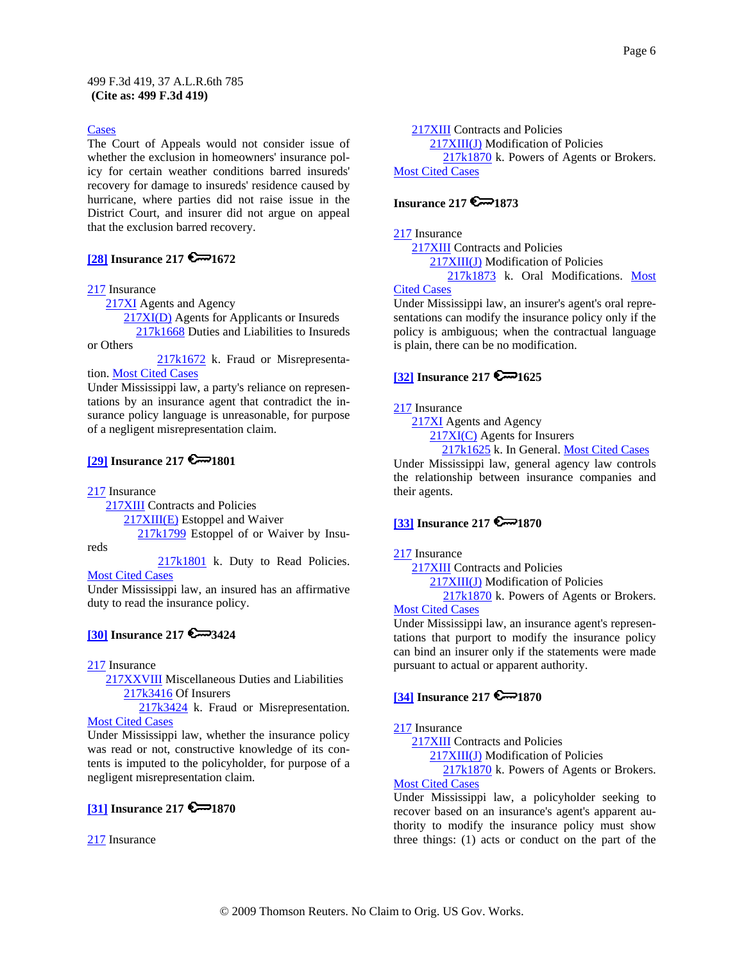#### Cases

The Court of Appeals would not consider issue of whether the exclusion in homeowners' insurance policy for certain weather conditions barred insureds' recovery for damage to insureds' residence caused by hurricane, where parties did not raise issue in the District Court, and insurer did not argue on appeal that the exclusion barred recovery.

### **[28] Insurance 217 6 - 1672**

#### 217 Insurance

217XI Agents and Agency

 217XI(D) Agents for Applicants or Insureds 217k1668 Duties and Liabilities to Insureds

or Others

217k1672 k. Fraud or Misrepresentation. Most Cited Cases

Under Mississippi law, a party's reliance on representations by an insurance agent that contradict the insurance policy language is unreasonable, for purpose of a negligent misrepresentation claim.

### **[29] Insurance 217 6 - 1801**

217 Insurance

reds

217XIII Contracts and Policies

217XIII(E) Estoppel and Waiver

217k1799 Estoppel of or Waiver by Insu-

217k1801 k. Duty to Read Policies. **Most Cited Cases** 

Under Mississippi law, an insured has an affirmative duty to read the insurance policy.

### **[30] Insurance 217 3424**

217 Insurance

 217XXVIII Miscellaneous Duties and Liabilities 217k3416 Of Insurers

217k3424 k. Fraud or Misrepresentation. Most Cited Cases

Under Mississippi law, whether the insurance policy was read or not, constructive knowledge of its contents is imputed to the policyholder, for purpose of a negligent misrepresentation claim.

### **[31] Insurance 217 6 - 1870**

217 Insurance

 217XIII Contracts and Policies 217XIII(J) Modification of Policies 217k1870 k. Powers of Agents or Brokers. Most Cited Cases

#### **Insurance 217**  $\mathbb{Z}$  1873

217 Insurance

 217XIII Contracts and Policies 217XIII(J) Modification of Policies 217k1873 k. Oral Modifications. Most

#### Cited Cases

Under Mississippi law, an insurer's agent's oral representations can modify the insurance policy only if the policy is ambiguous; when the contractual language is plain, there can be no modification.

### **[32] Insurance 217 6 - 1625**

#### 217 Insurance

217XI Agents and Agency

217XI(C) Agents for Insurers

217k1625 k. In General. Most Cited Cases

Under Mississippi law, general agency law controls the relationship between insurance companies and their agents.

### **[33] Insurance 217 6 1870**

#### 217 Insurance

 217XIII Contracts and Policies 217XIII(J) Modification of Policies 217k1870 k. Powers of Agents or Brokers.

#### Most Cited Cases

Under Mississippi law, an insurance agent's representations that purport to modify the insurance policy can bind an insurer only if the statements were made pursuant to actual or apparent authority.

### **[34] Insurance 217 6 1870**

### 217 Insurance

217XIII Contracts and Policies

217XIII(J) Modification of Policies

217k1870 k. Powers of Agents or Brokers.

# Most Cited Cases

Under Mississippi law, a policyholder seeking to recover based on an insurance's agent's apparent authority to modify the insurance policy must show three things: (1) acts or conduct on the part of the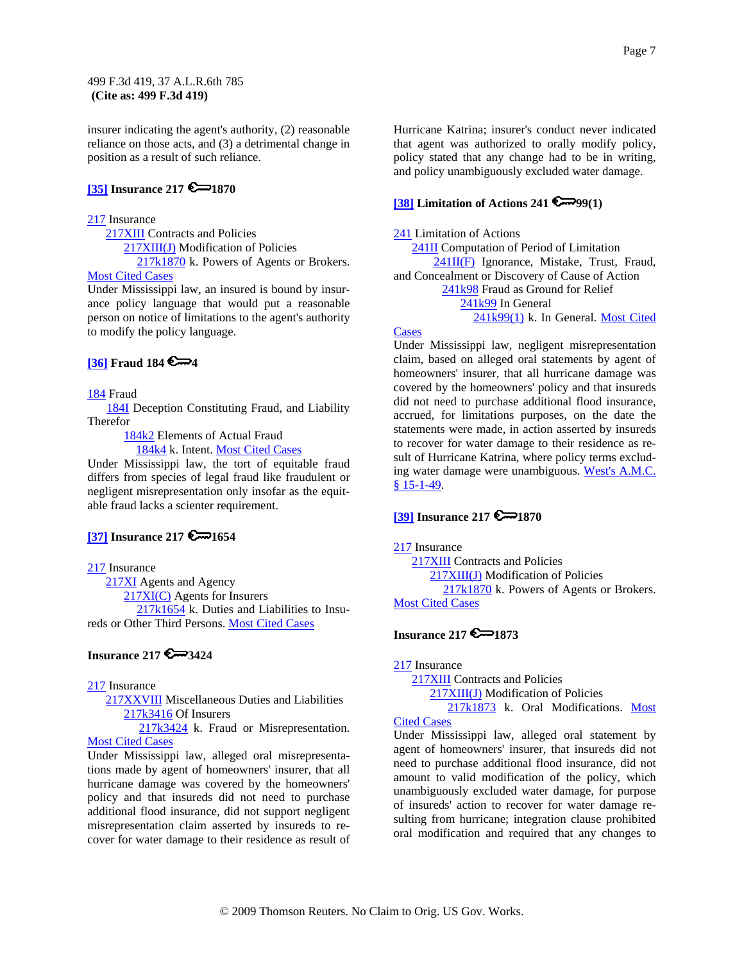insurer indicating the agent's authority, (2) reasonable reliance on those acts, and (3) a detrimental change in position as a result of such reliance.

# **[35] Insurance 217 6 - 1870**

#### 217 Insurance

217XIII Contracts and Policies

217XIII(J) Modification of Policies

217k1870 k. Powers of Agents or Brokers. Most Cited Cases

Under Mississippi law, an insured is bound by insurance policy language that would put a reasonable person on notice of limitations to the agent's authority to modify the policy language.

### **[36] Fraud 184 4**

#### 184 Fraud

 184I Deception Constituting Fraud, and Liability Therefor

184k2 Elements of Actual Fraud

184k4 k. Intent. Most Cited Cases

Under Mississippi law, the tort of equitable fraud differs from species of legal fraud like fraudulent or negligent misrepresentation only insofar as the equitable fraud lacks a scienter requirement.

### **[37] Insurance 217 6 - 1654**

217 Insurance

217XI Agents and Agency 217XI(C) Agents for Insurers 217k1654 k. Duties and Liabilities to Insu-

reds or Other Third Persons. Most Cited Cases

### **Insurance 217 3424**

#### 217 Insurance

 217XXVIII Miscellaneous Duties and Liabilities 217k3416 Of Insurers

 217k3424 k. Fraud or Misrepresentation. **Most Cited Cases** 

Under Mississippi law, alleged oral misrepresentations made by agent of homeowners' insurer, that all hurricane damage was covered by the homeowners' policy and that insureds did not need to purchase additional flood insurance, did not support negligent misrepresentation claim asserted by insureds to recover for water damage to their residence as result of Hurricane Katrina; insurer's conduct never indicated that agent was authorized to orally modify policy, policy stated that any change had to be in writing, and policy unambiguously excluded water damage.

#### **[38] Limitation of Actions 241 @**99(1)

#### 241 Limitation of Actions

 241II Computation of Period of Limitation  $241II(F)$  Ignorance, Mistake, Trust, Fraud, and Concealment or Discovery of Cause of Action

241k98 Fraud as Ground for Relief

241k99 In General

241k99(1) k. In General. Most Cited

#### **Cases**

Under Mississippi law, negligent misrepresentation claim, based on alleged oral statements by agent of homeowners' insurer, that all hurricane damage was covered by the homeowners' policy and that insureds did not need to purchase additional flood insurance, accrued, for limitations purposes, on the date the statements were made, in action asserted by insureds to recover for water damage to their residence as result of Hurricane Katrina, where policy terms excluding water damage were unambiguous. West's A.M.C. § 15-1-49.

### **[39] Insurance 217 6 - 1870**

217 Insurance

 217XIII Contracts and Policies 217XIII(J) Modification of Policies 217k1870 k. Powers of Agents or Brokers. Most Cited Cases

# **Insurance 217 6** 1873

217 Insurance

 217XIII Contracts and Policies 217XIII(J) Modification of Policies 217k1873 k. Oral Modifications. Most

### Cited Cases

Under Mississippi law, alleged oral statement by agent of homeowners' insurer, that insureds did not need to purchase additional flood insurance, did not amount to valid modification of the policy, which unambiguously excluded water damage, for purpose of insureds' action to recover for water damage resulting from hurricane; integration clause prohibited oral modification and required that any changes to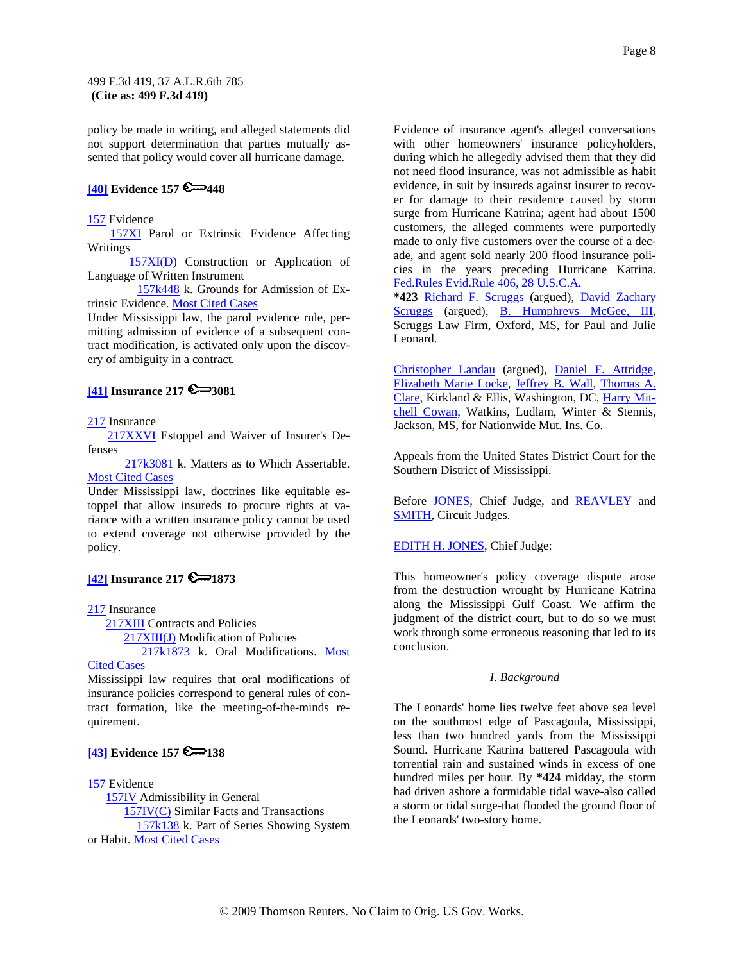policy be made in writing, and alleged statements did not support determination that parties mutually assented that policy would cover all hurricane damage.

### **[40] Evidence 157 6 448**

#### 157 Evidence

 157XI Parol or Extrinsic Evidence Affecting Writings

 157XI(D) Construction or Application of Language of Written Instrument

 157k448 k. Grounds for Admission of Extrinsic Evidence. Most Cited Cases

Under Mississippi law, the parol evidence rule, permitting admission of evidence of a subsequent contract modification, is activated only upon the discovery of ambiguity in a contract.

### **[41] Insurance 217 3081**

### 217 Insurance

 217XXVI Estoppel and Waiver of Insurer's Defenses

 217k3081 k. Matters as to Which Assertable. Most Cited Cases

Under Mississippi law, doctrines like equitable estoppel that allow insureds to procure rights at variance with a written insurance policy cannot be used to extend coverage not otherwise provided by the policy.

### **[42] Insurance 217 6 - 1873**

217 Insurance

217XIII Contracts and Policies

217XIII(J) Modification of Policies

217k1873 k. Oral Modifications. Most

#### Cited Cases

Mississippi law requires that oral modifications of insurance policies correspond to general rules of contract formation, like the meeting-of-the-minds requirement.

# **[43] Evidence 157 6 138**

### 157 Evidence

 157IV Admissibility in General 157IV(C) Similar Facts and Transactions 157k138 k. Part of Series Showing System or Habit. Most Cited Cases

Evidence of insurance agent's alleged conversations with other homeowners' insurance policyholders, during which he allegedly advised them that they did not need flood insurance, was not admissible as habit evidence, in suit by insureds against insurer to recover for damage to their residence caused by storm surge from Hurricane Katrina; agent had about 1500 customers, the alleged comments were purportedly made to only five customers over the course of a decade, and agent sold nearly 200 flood insurance policies in the years preceding Hurricane Katrina. Fed.Rules Evid.Rule 406, 28 U.S.C.A.

**\*423** Richard F. Scruggs (argued), David Zachary Scruggs (argued), B. Humphreys McGee, III, Scruggs Law Firm, Oxford, MS, for Paul and Julie Leonard.

Christopher Landau (argued), Daniel F. Attridge, Elizabeth Marie Locke, Jeffrey B. Wall, Thomas A. Clare, Kirkland & Ellis, Washington, DC, Harry Mitchell Cowan, Watkins, Ludlam, Winter & Stennis, Jackson, MS, for Nationwide Mut. Ins. Co.

Appeals from the United States District Court for the Southern District of Mississippi.

Before JONES, Chief Judge, and REAVLEY and SMITH, Circuit Judges.

#### EDITH H. JONES, Chief Judge:

This homeowner's policy coverage dispute arose from the destruction wrought by Hurricane Katrina along the Mississippi Gulf Coast. We affirm the judgment of the district court, but to do so we must work through some erroneous reasoning that led to its conclusion.

#### *I. Background*

The Leonards' home lies twelve feet above sea level on the southmost edge of Pascagoula, Mississippi, less than two hundred yards from the Mississippi Sound. Hurricane Katrina battered Pascagoula with torrential rain and sustained winds in excess of one hundred miles per hour. By **\*424** midday, the storm had driven ashore a formidable tidal wave-also called a storm or tidal surge-that flooded the ground floor of the Leonards' two-story home.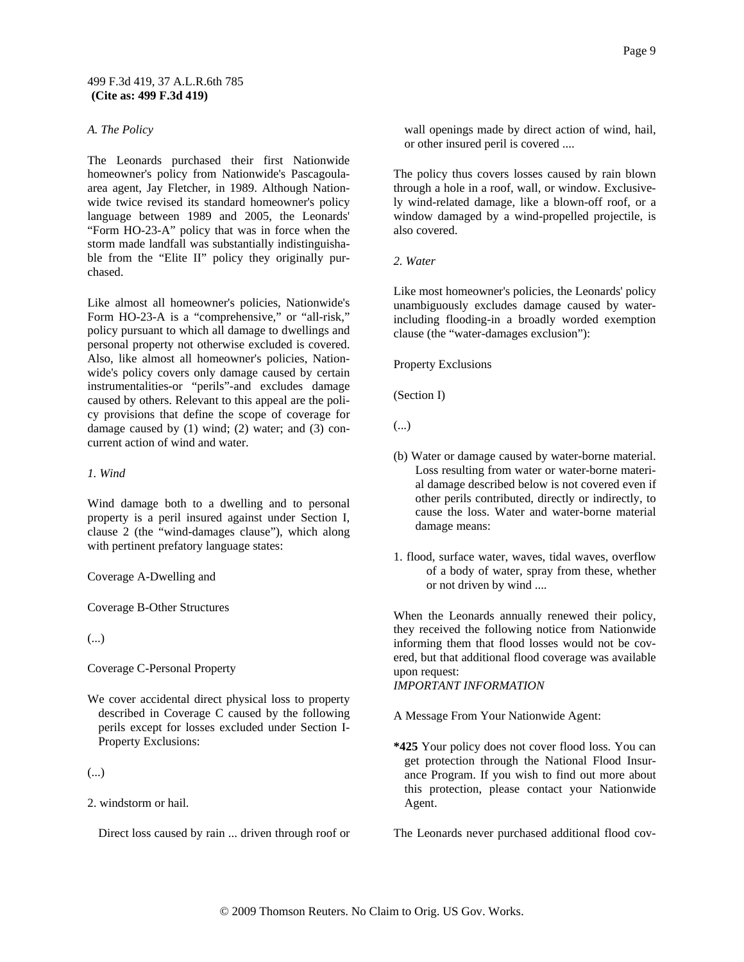#### *A. The Policy*

The Leonards purchased their first Nationwide homeowner's policy from Nationwide's Pascagoulaarea agent, Jay Fletcher, in 1989. Although Nationwide twice revised its standard homeowner's policy language between 1989 and 2005, the Leonards' "Form HO-23-A" policy that was in force when the storm made landfall was substantially indistinguishable from the "Elite II" policy they originally purchased.

Like almost all homeowner's policies, Nationwide's Form HO-23-A is a "comprehensive," or "all-risk," policy pursuant to which all damage to dwellings and personal property not otherwise excluded is covered. Also, like almost all homeowner's policies, Nationwide's policy covers only damage caused by certain instrumentalities-or "perils"-and excludes damage caused by others. Relevant to this appeal are the policy provisions that define the scope of coverage for damage caused by (1) wind; (2) water; and (3) concurrent action of wind and water.

*1. Wind*

Wind damage both to a dwelling and to personal property is a peril insured against under Section I, clause 2 (the "wind-damages clause"), which along with pertinent prefatory language states:

Coverage A-Dwelling and

Coverage B-Other Structures

(...)

Coverage C-Personal Property

We cover accidental direct physical loss to property described in Coverage C caused by the following perils except for losses excluded under Section I-Property Exclusions:

(...)

2. windstorm or hail.

Direct loss caused by rain ... driven through roof or

wall openings made by direct action of wind, hail, or other insured peril is covered ....

The policy thus covers losses caused by rain blown through a hole in a roof, wall, or window. Exclusively wind-related damage, like a blown-off roof, or a window damaged by a wind-propelled projectile, is also covered.

*2. Water*

Like most homeowner's policies, the Leonards' policy unambiguously excludes damage caused by waterincluding flooding-in a broadly worded exemption clause (the "water-damages exclusion"):

Property Exclusions

(Section I)

(...)

- (b) Water or damage caused by water-borne material. Loss resulting from water or water-borne material damage described below is not covered even if other perils contributed, directly or indirectly, to cause the loss. Water and water-borne material damage means:
- 1. flood, surface water, waves, tidal waves, overflow of a body of water, spray from these, whether or not driven by wind ....

When the Leonards annually renewed their policy, they received the following notice from Nationwide informing them that flood losses would not be covered, but that additional flood coverage was available upon request:

*IMPORTANT INFORMATION*

A Message From Your Nationwide Agent:

**\*425** Your policy does not cover flood loss. You can get protection through the National Flood Insurance Program. If you wish to find out more about this protection, please contact your Nationwide Agent.

The Leonards never purchased additional flood cov-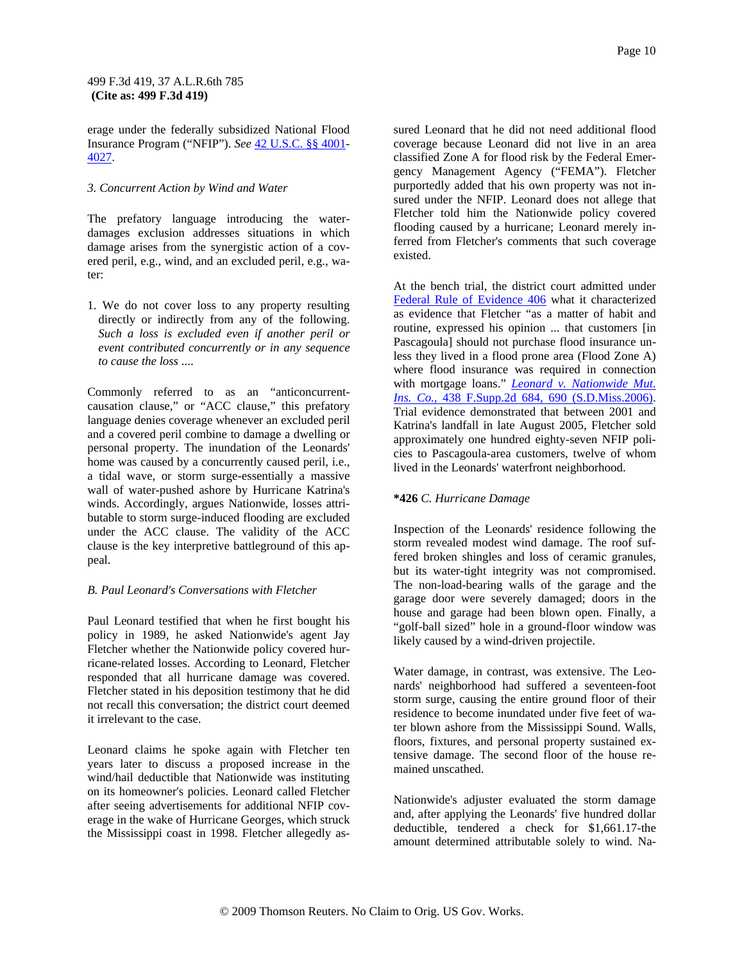erage under the federally subsidized National Flood Insurance Program ("NFIP"). *See* 42 U.S.C. §§ 4001- 4027.

#### *3. Concurrent Action by Wind and Water*

The prefatory language introducing the waterdamages exclusion addresses situations in which damage arises from the synergistic action of a covered peril, e.g., wind, and an excluded peril, e.g., water:

1. We do not cover loss to any property resulting directly or indirectly from any of the following. *Such a loss is excluded even if another peril or event contributed concurrently or in any sequence to cause the loss* ....

Commonly referred to as an "anticoncurrentcausation clause," or "ACC clause," this prefatory language denies coverage whenever an excluded peril and a covered peril combine to damage a dwelling or personal property. The inundation of the Leonards' home was caused by a concurrently caused peril, i.e., a tidal wave, or storm surge-essentially a massive wall of water-pushed ashore by Hurricane Katrina's winds. Accordingly, argues Nationwide, losses attributable to storm surge-induced flooding are excluded under the ACC clause. The validity of the ACC clause is the key interpretive battleground of this appeal.

### *B. Paul Leonard's Conversations with Fletcher*

Paul Leonard testified that when he first bought his policy in 1989, he asked Nationwide's agent Jay Fletcher whether the Nationwide policy covered hurricane-related losses. According to Leonard, Fletcher responded that all hurricane damage was covered. Fletcher stated in his deposition testimony that he did not recall this conversation; the district court deemed it irrelevant to the case.

Leonard claims he spoke again with Fletcher ten years later to discuss a proposed increase in the wind/hail deductible that Nationwide was instituting on its homeowner's policies. Leonard called Fletcher after seeing advertisements for additional NFIP coverage in the wake of Hurricane Georges, which struck the Mississippi coast in 1998. Fletcher allegedly assured Leonard that he did not need additional flood coverage because Leonard did not live in an area classified Zone A for flood risk by the Federal Emergency Management Agency ("FEMA"). Fletcher purportedly added that his own property was not insured under the NFIP. Leonard does not allege that Fletcher told him the Nationwide policy covered flooding caused by a hurricane; Leonard merely inferred from Fletcher's comments that such coverage existed.

At the bench trial, the district court admitted under Federal Rule of Evidence 406 what it characterized as evidence that Fletcher "as a matter of habit and routine, expressed his opinion ... that customers [in Pascagoula] should not purchase flood insurance unless they lived in a flood prone area (Flood Zone A) where flood insurance was required in connection with mortgage loans." *Leonard v. Nationwide Mut. Ins. Co.,* 438 F.Supp.2d 684, 690 (S.D.Miss.2006). Trial evidence demonstrated that between 2001 and Katrina's landfall in late August 2005, Fletcher sold approximately one hundred eighty-seven NFIP policies to Pascagoula-area customers, twelve of whom lived in the Leonards' waterfront neighborhood.

### **\*426** *C. Hurricane Damage*

Inspection of the Leonards' residence following the storm revealed modest wind damage. The roof suffered broken shingles and loss of ceramic granules, but its water-tight integrity was not compromised. The non-load-bearing walls of the garage and the garage door were severely damaged; doors in the house and garage had been blown open. Finally, a "golf-ball sized" hole in a ground-floor window was likely caused by a wind-driven projectile.

Water damage, in contrast, was extensive. The Leonards' neighborhood had suffered a seventeen-foot storm surge, causing the entire ground floor of their residence to become inundated under five feet of water blown ashore from the Mississippi Sound. Walls, floors, fixtures, and personal property sustained extensive damage. The second floor of the house remained unscathed.

Nationwide's adjuster evaluated the storm damage and, after applying the Leonards' five hundred dollar deductible, tendered a check for \$1,661.17-the amount determined attributable solely to wind. Na-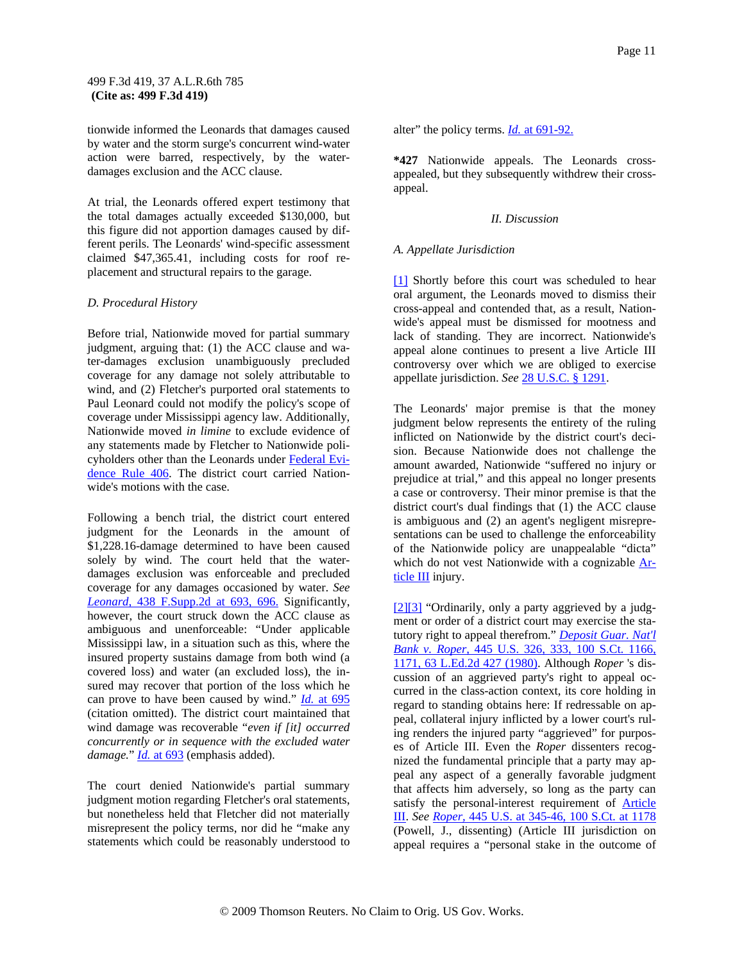tionwide informed the Leonards that damages caused by water and the storm surge's concurrent wind-water action were barred, respectively, by the waterdamages exclusion and the ACC clause.

At trial, the Leonards offered expert testimony that the total damages actually exceeded \$130,000, but this figure did not apportion damages caused by different perils. The Leonards' wind-specific assessment claimed \$47,365.41, including costs for roof replacement and structural repairs to the garage.

#### *D. Procedural History*

Before trial, Nationwide moved for partial summary judgment, arguing that: (1) the ACC clause and water-damages exclusion unambiguously precluded coverage for any damage not solely attributable to wind, and (2) Fletcher's purported oral statements to Paul Leonard could not modify the policy's scope of coverage under Mississippi agency law. Additionally, Nationwide moved *in limine* to exclude evidence of any statements made by Fletcher to Nationwide policyholders other than the Leonards under Federal Evidence Rule 406. The district court carried Nationwide's motions with the case.

Following a bench trial, the district court entered judgment for the Leonards in the amount of \$1,228.16-damage determined to have been caused solely by wind. The court held that the waterdamages exclusion was enforceable and precluded coverage for any damages occasioned by water. *See Leonard,* 438 F.Supp.2d at 693, 696. Significantly, however, the court struck down the ACC clause as ambiguous and unenforceable: "Under applicable Mississippi law, in a situation such as this, where the insured property sustains damage from both wind (a covered loss) and water (an excluded loss), the insured may recover that portion of the loss which he can prove to have been caused by wind." *Id.* at 695 (citation omitted). The district court maintained that wind damage was recoverable "*even if [it] occurred concurrently or in sequence with the excluded water damage.*" *Id.* at 693 (emphasis added).

The court denied Nationwide's partial summary judgment motion regarding Fletcher's oral statements, but nonetheless held that Fletcher did not materially misrepresent the policy terms, nor did he "make any statements which could be reasonably understood to

alter" the policy terms. *Id.* at 691-92.

**\*427** Nationwide appeals. The Leonards crossappealed, but they subsequently withdrew their crossappeal.

#### *II. Discussion*

#### *A. Appellate Jurisdiction*

[1] Shortly before this court was scheduled to hear oral argument, the Leonards moved to dismiss their cross-appeal and contended that, as a result, Nationwide's appeal must be dismissed for mootness and lack of standing. They are incorrect. Nationwide's appeal alone continues to present a live Article III controversy over which we are obliged to exercise appellate jurisdiction. *See* 28 U.S.C. § 1291.

The Leonards' major premise is that the money judgment below represents the entirety of the ruling inflicted on Nationwide by the district court's decision. Because Nationwide does not challenge the amount awarded, Nationwide "suffered no injury or prejudice at trial," and this appeal no longer presents a case or controversy. Their minor premise is that the district court's dual findings that (1) the ACC clause is ambiguous and (2) an agent's negligent misrepresentations can be used to challenge the enforceability of the Nationwide policy are unappealable "dicta" which do not vest Nationwide with a cognizable Article III injury.

[2][3] "Ordinarily, only a party aggrieved by a judgment or order of a district court may exercise the statutory right to appeal therefrom." *Deposit Guar. Nat'l Bank v. Roper,* 445 U.S. 326, 333, 100 S.Ct. 1166, 1171, 63 L.Ed.2d 427 (1980). Although *Roper* 's discussion of an aggrieved party's right to appeal occurred in the class-action context, its core holding in regard to standing obtains here: If redressable on appeal, collateral injury inflicted by a lower court's ruling renders the injured party "aggrieved" for purposes of Article III. Even the *Roper* dissenters recognized the fundamental principle that a party may appeal any aspect of a generally favorable judgment that affects him adversely, so long as the party can satisfy the personal-interest requirement of Article III. *See Roper,* 445 U.S. at 345-46, 100 S.Ct. at 1178 (Powell, J., dissenting) (Article III jurisdiction on appeal requires a "personal stake in the outcome of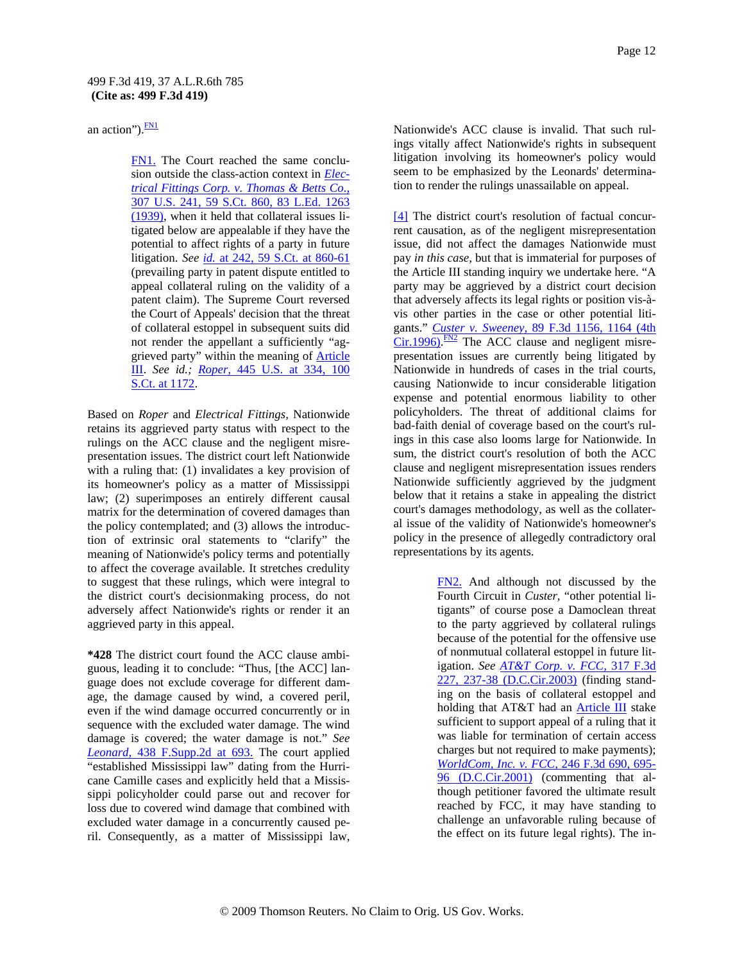an action"). $\frac{FN1}{FN}$ 

FN1. The Court reached the same conclusion outside the class-action context in *Electrical Fittings Corp. v. Thomas & Betts Co.,* 307 U.S. 241, 59 S.Ct. 860, 83 L.Ed. 1263 (1939), when it held that collateral issues litigated below are appealable if they have the potential to affect rights of a party in future litigation. *See id.* at 242, 59 S.Ct. at 860-61 (prevailing party in patent dispute entitled to appeal collateral ruling on the validity of a patent claim). The Supreme Court reversed the Court of Appeals' decision that the threat of collateral estoppel in subsequent suits did not render the appellant a sufficiently "aggrieved party" within the meaning of Article III. *See id.; Roper,* 445 U.S. at 334, 100 S.Ct. at 1172.

Based on *Roper* and *Electrical Fittings,* Nationwide retains its aggrieved party status with respect to the rulings on the ACC clause and the negligent misrepresentation issues. The district court left Nationwide with a ruling that: (1) invalidates a key provision of its homeowner's policy as a matter of Mississippi law; (2) superimposes an entirely different causal matrix for the determination of covered damages than the policy contemplated; and (3) allows the introduction of extrinsic oral statements to "clarify" the meaning of Nationwide's policy terms and potentially to affect the coverage available. It stretches credulity to suggest that these rulings, which were integral to the district court's decisionmaking process, do not adversely affect Nationwide's rights or render it an aggrieved party in this appeal.

**\*428** The district court found the ACC clause ambiguous, leading it to conclude: "Thus, [the ACC] language does not exclude coverage for different damage, the damage caused by wind, a covered peril, even if the wind damage occurred concurrently or in sequence with the excluded water damage. The wind damage is covered; the water damage is not." *See Leonard,* 438 F.Supp.2d at 693. The court applied "established Mississippi law" dating from the Hurricane Camille cases and explicitly held that a Mississippi policyholder could parse out and recover for loss due to covered wind damage that combined with excluded water damage in a concurrently caused peril. Consequently, as a matter of Mississippi law, Nationwide's ACC clause is invalid. That such rulings vitally affect Nationwide's rights in subsequent litigation involving its homeowner's policy would seem to be emphasized by the Leonards' determination to render the rulings unassailable on appeal.

[4] The district court's resolution of factual concurrent causation, as of the negligent misrepresentation issue, did not affect the damages Nationwide must pay *in this case,* but that is immaterial for purposes of the Article III standing inquiry we undertake here. "A party may be aggrieved by a district court decision that adversely affects its legal rights or position vis-àvis other parties in the case or other potential litigants." *Custer v. Sweeney,* 89 F.3d 1156, 1164 (4th  $\overline{\text{Cir}}$ . 1996). <sup>FN2</sup> The ACC clause and negligent misrepresentation issues are currently being litigated by Nationwide in hundreds of cases in the trial courts, causing Nationwide to incur considerable litigation expense and potential enormous liability to other policyholders. The threat of additional claims for bad-faith denial of coverage based on the court's rulings in this case also looms large for Nationwide. In sum, the district court's resolution of both the ACC clause and negligent misrepresentation issues renders Nationwide sufficiently aggrieved by the judgment below that it retains a stake in appealing the district court's damages methodology, as well as the collateral issue of the validity of Nationwide's homeowner's policy in the presence of allegedly contradictory oral representations by its agents.

> FN2. And although not discussed by the Fourth Circuit in *Custer,* "other potential litigants" of course pose a Damoclean threat to the party aggrieved by collateral rulings because of the potential for the offensive use of nonmutual collateral estoppel in future litigation. *See AT&T Corp. v. FCC,* 317 F.3d 227, 237-38 (D.C.Cir.2003) (finding standing on the basis of collateral estoppel and holding that AT&T had an **Article III** stake sufficient to support appeal of a ruling that it was liable for termination of certain access charges but not required to make payments); *WorldCom, Inc. v. FCC,* 246 F.3d 690, 695- 96 (D.C.Cir.2001) (commenting that although petitioner favored the ultimate result reached by FCC, it may have standing to challenge an unfavorable ruling because of the effect on its future legal rights). The in-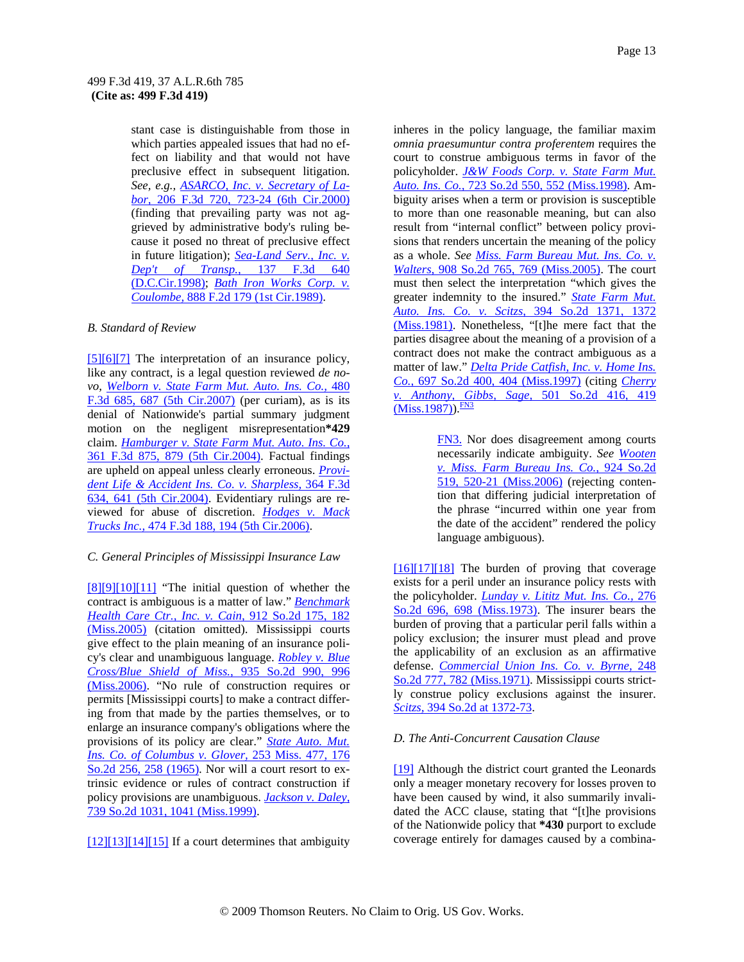stant case is distinguishable from those in which parties appealed issues that had no effect on liability and that would not have preclusive effect in subsequent litigation. *See, e.g., ASARCO, Inc. v. Secretary of Labor,* 206 F.3d 720, 723-24 (6th Cir.2000) (finding that prevailing party was not aggrieved by administrative body's ruling because it posed no threat of preclusive effect in future litigation); *Sea-Land Serv., Inc. v. Dep't of Transp.,* 137 F.3d 640 (D.C.Cir.1998); *Bath Iron Works Corp. v. Coulombe,* 888 F.2d 179 (1st Cir.1989).

### *B. Standard of Review*

[5][6][7] The interpretation of an insurance policy, like any contract, is a legal question reviewed *de novo, Welborn v. State Farm Mut. Auto. Ins. Co.,* 480 F.3d 685, 687 (5th Cir.2007) (per curiam), as is its denial of Nationwide's partial summary judgment motion on the negligent misrepresentation**\*429** claim. *Hamburger v. State Farm Mut. Auto. Ins. Co.,* 361 F.3d 875, 879 (5th Cir.2004). Factual findings are upheld on appeal unless clearly erroneous. *Provident Life & Accident Ins. Co. v. Sharpless,* 364 F.3d 634, 641 (5th Cir.2004). Evidentiary rulings are reviewed for abuse of discretion. *Hodges v. Mack Trucks Inc.,* 474 F.3d 188, 194 (5th Cir.2006).

### *C. General Principles of Mississippi Insurance Law*

[8][9][10][11] "The initial question of whether the contract is ambiguous is a matter of law." *Benchmark Health Care Ctr., Inc. v. Cain,* 912 So.2d 175, 182 (Miss.2005) (citation omitted). Mississippi courts give effect to the plain meaning of an insurance policy's clear and unambiguous language. *Robley v. Blue Cross/Blue Shield of Miss.,* 935 So.2d 990, 996 (Miss.2006). "No rule of construction requires or permits [Mississippi courts] to make a contract differing from that made by the parties themselves, or to enlarge an insurance company's obligations where the provisions of its policy are clear." *State Auto. Mut. Ins. Co. of Columbus v. Glover,* 253 Miss. 477, 176 So.2d 256, 258 (1965). Nor will a court resort to extrinsic evidence or rules of contract construction if policy provisions are unambiguous. *Jackson v. Daley,* 739 So.2d 1031, 1041 (Miss.1999).

 $[12][13][14][15]$  If a court determines that ambiguity

inheres in the policy language, the familiar maxim *omnia praesumuntur contra proferentem* requires the court to construe ambiguous terms in favor of the policyholder. *J&W Foods Corp. v. State Farm Mut. Auto. Ins. Co.,* 723 So.2d 550, 552 (Miss.1998). Ambiguity arises when a term or provision is susceptible to more than one reasonable meaning, but can also result from "internal conflict" between policy provisions that renders uncertain the meaning of the policy as a whole. *See Miss. Farm Bureau Mut. Ins. Co. v. Walters,* 908 So.2d 765, 769 (Miss.2005). The court must then select the interpretation "which gives the greater indemnity to the insured." *State Farm Mut. Auto. Ins. Co. v. Scitzs,* 394 So.2d 1371, 1372 (Miss.1981). Nonetheless, "[t]he mere fact that the parties disagree about the meaning of a provision of a contract does not make the contract ambiguous as a matter of law." *Delta Pride Catfish, Inc. v. Home Ins. Co.,* 697 So.2d 400, 404 (Miss.1997) (citing *Cherry v. Anthony, Gibbs, Sage,* 501 So.2d 416, 419  $(Miss.1987)$ .  $\frac{FN3}{FN}$ 

> FN3. Nor does disagreement among courts necessarily indicate ambiguity. *See Wooten v. Miss. Farm Bureau Ins. Co.,* 924 So.2d 519, 520-21 (Miss.2006) (rejecting contention that differing judicial interpretation of the phrase "incurred within one year from the date of the accident" rendered the policy language ambiguous).

 $[16][17][18]$  The burden of proving that coverage exists for a peril under an insurance policy rests with the policyholder. *Lunday v. Lititz Mut. Ins. Co.,* 276 So.2d 696, 698 (Miss.1973). The insurer bears the burden of proving that a particular peril falls within a policy exclusion; the insurer must plead and prove the applicability of an exclusion as an affirmative defense. *Commercial Union Ins. Co. v. Byrne,* 248 So.2d 777, 782 (Miss.1971). Mississippi courts strictly construe policy exclusions against the insurer. *Scitzs,* 394 So.2d at 1372-73.

### *D. The Anti-Concurrent Causation Clause*

[19] Although the district court granted the Leonards only a meager monetary recovery for losses proven to have been caused by wind, it also summarily invalidated the ACC clause, stating that "[t]he provisions of the Nationwide policy that **\*430** purport to exclude coverage entirely for damages caused by a combina-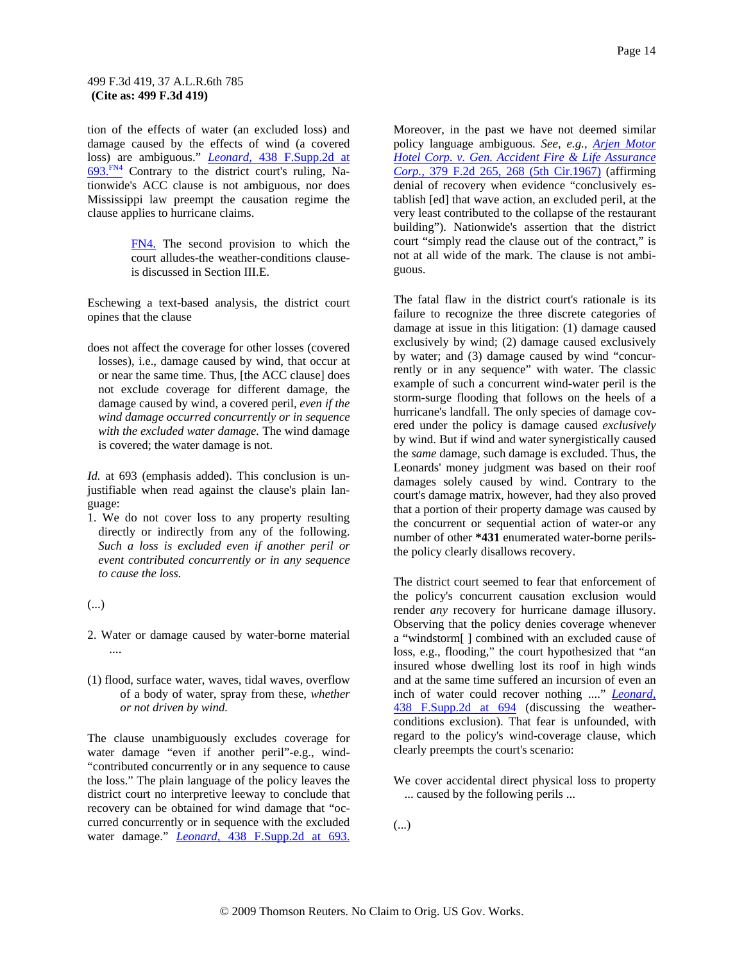tion of the effects of water (an excluded loss) and damage caused by the effects of wind (a covered loss) are ambiguous." *Leonard,* 438 F.Supp.2d at 693.FN4 Contrary to the district court's ruling, Nationwide's ACC clause is not ambiguous, nor does Mississippi law preempt the causation regime the clause applies to hurricane claims.

> FN4. The second provision to which the court alludes-the weather-conditions clauseis discussed in Section III.E.

Eschewing a text-based analysis, the district court opines that the clause

does not affect the coverage for other losses (covered losses), i.e., damage caused by wind, that occur at or near the same time. Thus, [the ACC clause] does not exclude coverage for different damage, the damage caused by wind, a covered peril, *even if the wind damage occurred concurrently or in sequence with the excluded water damage.* The wind damage is covered; the water damage is not.

*Id.* at 693 (emphasis added). This conclusion is unjustifiable when read against the clause's plain language:

- 1. We do not cover loss to any property resulting directly or indirectly from any of the following. *Such a loss is excluded even if another peril or event contributed concurrently or in any sequence to cause the loss.*
- (...)
- 2. Water or damage caused by water-borne material ....
- (1) flood, surface water, waves, tidal waves, overflow of a body of water, spray from these, *whether or not driven by wind.*

The clause unambiguously excludes coverage for water damage "even if another peril"-e.g., wind- "contributed concurrently or in any sequence to cause the loss." The plain language of the policy leaves the district court no interpretive leeway to conclude that recovery can be obtained for wind damage that "occurred concurrently or in sequence with the excluded water damage." *Leonard,* 438 F.Supp.2d at 693.

Moreover, in the past we have not deemed similar policy language ambiguous. *See, e.g., Arjen Motor Hotel Corp. v. Gen. Accident Fire & Life Assurance Corp.,* 379 F.2d 265, 268 (5th Cir.1967) (affirming denial of recovery when evidence "conclusively establish [ed] that wave action, an excluded peril, at the very least contributed to the collapse of the restaurant building"). Nationwide's assertion that the district court "simply read the clause out of the contract," is not at all wide of the mark. The clause is not ambiguous.

The fatal flaw in the district court's rationale is its failure to recognize the three discrete categories of damage at issue in this litigation: (1) damage caused exclusively by wind; (2) damage caused exclusively by water; and (3) damage caused by wind "concurrently or in any sequence" with water. The classic example of such a concurrent wind-water peril is the storm-surge flooding that follows on the heels of a hurricane's landfall. The only species of damage covered under the policy is damage caused *exclusively* by wind. But if wind and water synergistically caused the *same* damage, such damage is excluded. Thus, the Leonards' money judgment was based on their roof damages solely caused by wind. Contrary to the court's damage matrix, however, had they also proved that a portion of their property damage was caused by the concurrent or sequential action of water-or any number of other **\*431** enumerated water-borne perilsthe policy clearly disallows recovery.

The district court seemed to fear that enforcement of the policy's concurrent causation exclusion would render *any* recovery for hurricane damage illusory. Observing that the policy denies coverage whenever a "windstorm[ ] combined with an excluded cause of loss, e.g., flooding," the court hypothesized that "an insured whose dwelling lost its roof in high winds and at the same time suffered an incursion of even an inch of water could recover nothing ...." *Leonard,* 438 F.Supp.2d at 694 (discussing the weatherconditions exclusion). That fear is unfounded, with regard to the policy's wind-coverage clause, which clearly preempts the court's scenario:

- We cover accidental direct physical loss to property ... caused by the following perils ...
- (...)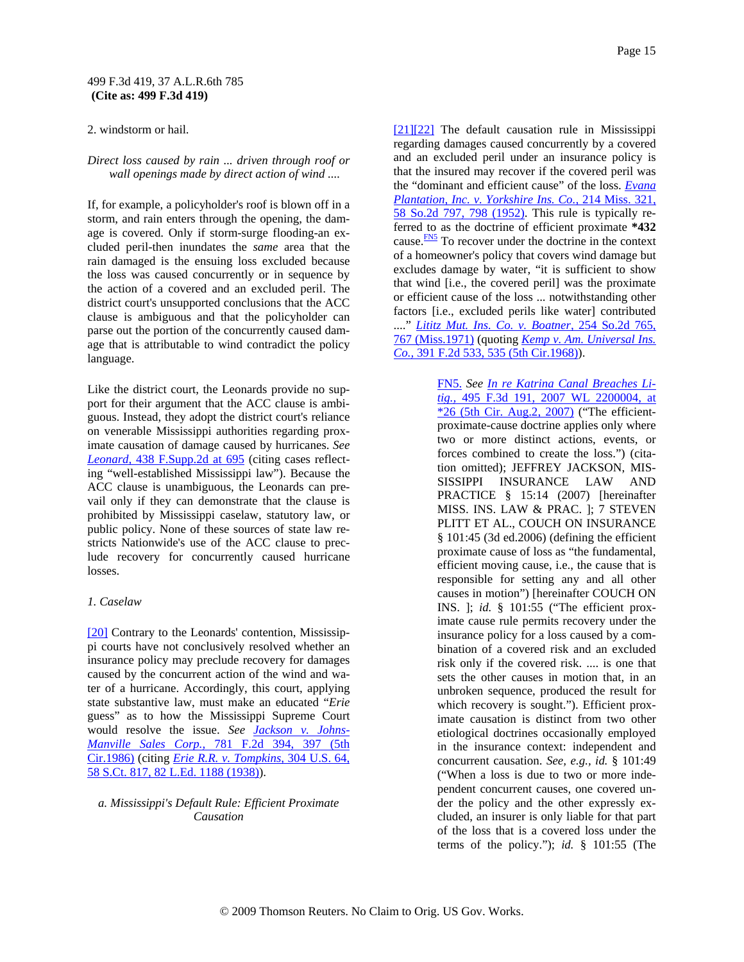2. windstorm or hail.

#### *Direct loss caused by rain ... driven through roof or wall openings made by direct action of wind ....*

If, for example, a policyholder's roof is blown off in a storm, and rain enters through the opening, the damage is covered. Only if storm-surge flooding-an excluded peril-then inundates the *same* area that the rain damaged is the ensuing loss excluded because the loss was caused concurrently or in sequence by the action of a covered and an excluded peril. The district court's unsupported conclusions that the ACC clause is ambiguous and that the policyholder can parse out the portion of the concurrently caused damage that is attributable to wind contradict the policy language.

Like the district court, the Leonards provide no support for their argument that the ACC clause is ambiguous. Instead, they adopt the district court's reliance on venerable Mississippi authorities regarding proximate causation of damage caused by hurricanes. *See Leonard,* 438 F.Supp.2d at 695 (citing cases reflecting "well-established Mississippi law"). Because the ACC clause is unambiguous, the Leonards can prevail only if they can demonstrate that the clause is prohibited by Mississippi caselaw, statutory law, or public policy. None of these sources of state law restricts Nationwide's use of the ACC clause to preclude recovery for concurrently caused hurricane losses.

#### *1. Caselaw*

[20] Contrary to the Leonards' contention, Mississippi courts have not conclusively resolved whether an insurance policy may preclude recovery for damages caused by the concurrent action of the wind and water of a hurricane. Accordingly, this court, applying state substantive law, must make an educated "*Erie* guess" as to how the Mississippi Supreme Court would resolve the issue. *See Jackson v. Johns-Manville Sales Corp.,* 781 F.2d 394, 397 (5th Cir.1986) (citing *Erie R.R. v. Tompkins,* 304 U.S. 64, 58 S.Ct. 817, 82 L.Ed. 1188 (1938)).

#### *a. Mississippi's Default Rule: Efficient Proximate Causation*

[21][22] The default causation rule in Mississippi regarding damages caused concurrently by a covered and an excluded peril under an insurance policy is that the insured may recover if the covered peril was the "dominant and efficient cause" of the loss. *Evana Plantation, Inc. v. Yorkshire Ins. Co.,* 214 Miss. 321, 58 So.2d 797, 798 (1952). This rule is typically referred to as the doctrine of efficient proximate **\*432** cause. $\frac{FN5}{FN}$  To recover under the doctrine in the context of a homeowner's policy that covers wind damage but excludes damage by water, "it is sufficient to show that wind [i.e., the covered peril] was the proximate or efficient cause of the loss ... notwithstanding other factors [i.e., excluded perils like water] contributed ...." *Lititz Mut. Ins. Co. v. Boatner,* 254 So.2d 765, 767 (Miss.1971) (quoting *Kemp v. Am. Universal Ins. Co.,* 391 F.2d 533, 535 (5th Cir.1968)).

> FN5. *See In re Katrina Canal Breaches Litig.,* 495 F.3d 191, 2007 WL 2200004, at  $*26$  (5th Cir. Aug.2, 2007) ("The efficientproximate-cause doctrine applies only where two or more distinct actions, events, or forces combined to create the loss.") (citation omitted); JEFFREY JACKSON, MIS-SISSIPPI INSURANCE LAW AND PRACTICE § 15:14 (2007) [hereinafter MISS. INS. LAW & PRAC. ]; 7 STEVEN PLITT ET AL., COUCH ON INSURANCE § 101:45 (3d ed.2006) (defining the efficient proximate cause of loss as "the fundamental, efficient moving cause, i.e., the cause that is responsible for setting any and all other causes in motion") [hereinafter COUCH ON INS. ]; *id.* § 101:55 ("The efficient proximate cause rule permits recovery under the insurance policy for a loss caused by a combination of a covered risk and an excluded risk only if the covered risk. .... is one that sets the other causes in motion that, in an unbroken sequence, produced the result for which recovery is sought."). Efficient proximate causation is distinct from two other etiological doctrines occasionally employed in the insurance context: independent and concurrent causation. *See, e.g., id.* § 101:49 ("When a loss is due to two or more independent concurrent causes, one covered under the policy and the other expressly excluded, an insurer is only liable for that part of the loss that is a covered loss under the terms of the policy."); *id.* § 101:55 (The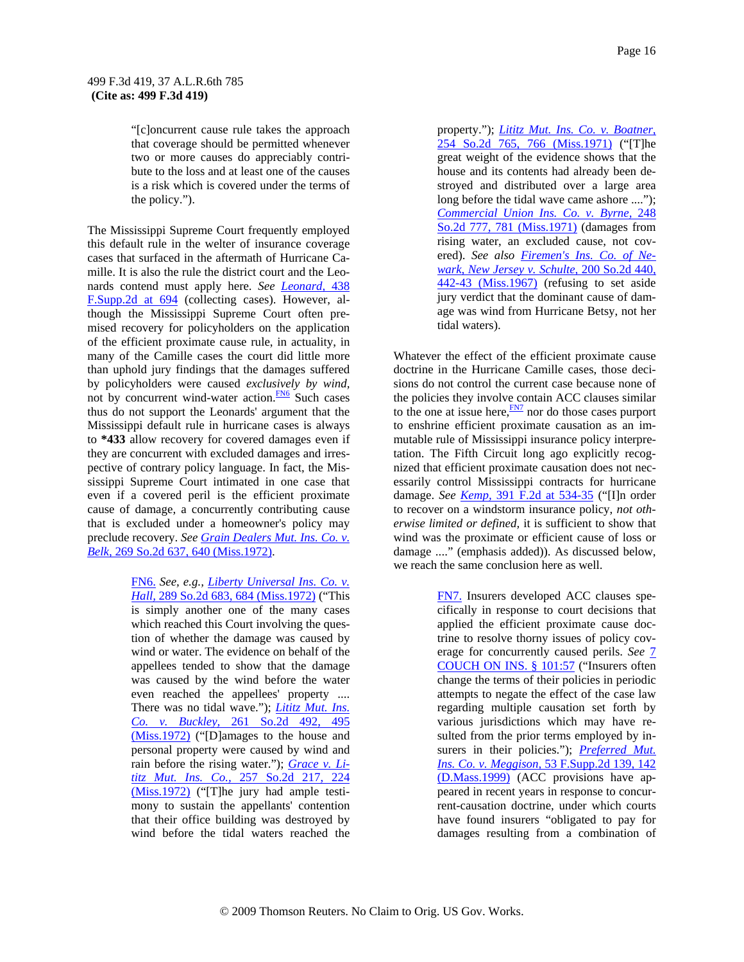"[c]oncurrent cause rule takes the approach that coverage should be permitted whenever two or more causes do appreciably contribute to the loss and at least one of the causes is a risk which is covered under the terms of the policy.").

The Mississippi Supreme Court frequently employed this default rule in the welter of insurance coverage cases that surfaced in the aftermath of Hurricane Camille. It is also the rule the district court and the Leonards contend must apply here. *See Leonard,* 438 F.Supp.2d at 694 (collecting cases). However, although the Mississippi Supreme Court often premised recovery for policyholders on the application of the efficient proximate cause rule, in actuality, in many of the Camille cases the court did little more than uphold jury findings that the damages suffered by policyholders were caused *exclusively by wind,* not by concurrent wind-water action.<sup>FN6</sup> Such cases thus do not support the Leonards' argument that the Mississippi default rule in hurricane cases is always to **\*433** allow recovery for covered damages even if they are concurrent with excluded damages and irrespective of contrary policy language. In fact, the Mississippi Supreme Court intimated in one case that even if a covered peril is the efficient proximate cause of damage, a concurrently contributing cause that is excluded under a homeowner's policy may preclude recovery. *See Grain Dealers Mut. Ins. Co. v. Belk,* 269 So.2d 637, 640 (Miss.1972).

> FN6. *See, e.g., Liberty Universal Ins. Co. v. Hall,* 289 So.2d 683, 684 (Miss.1972) ("This is simply another one of the many cases which reached this Court involving the question of whether the damage was caused by wind or water. The evidence on behalf of the appellees tended to show that the damage was caused by the wind before the water even reached the appellees' property .... There was no tidal wave."); *Lititz Mut. Ins. Co. v. Buckley,* 261 So.2d 492, 495 (Miss.1972) ("[D]amages to the house and personal property were caused by wind and rain before the rising water."); *Grace v. Lititz Mut. Ins. Co.,* 257 So.2d 217, 224 (Miss.1972) ("[T]he jury had ample testimony to sustain the appellants' contention that their office building was destroyed by wind before the tidal waters reached the

property."); *Lititz Mut. Ins. Co. v. Boatner,* 254 So.2d 765, 766 (Miss.1971) ("[T]he great weight of the evidence shows that the house and its contents had already been destroyed and distributed over a large area long before the tidal wave came ashore ...."); *Commercial Union Ins. Co. v. Byrne,* 248 So.2d 777, 781 (Miss.1971) (damages from rising water, an excluded cause, not covered). *See also Firemen's Ins. Co. of Newark, New Jersey v. Schulte,* 200 So.2d 440, 442-43 (Miss.1967) (refusing to set aside jury verdict that the dominant cause of damage was wind from Hurricane Betsy, not her tidal waters).

Whatever the effect of the efficient proximate cause doctrine in the Hurricane Camille cases, those decisions do not control the current case because none of the policies they involve contain ACC clauses similar to the one at issue here, $\frac{FN7}{N}$  nor do those cases purport to enshrine efficient proximate causation as an immutable rule of Mississippi insurance policy interpretation. The Fifth Circuit long ago explicitly recognized that efficient proximate causation does not necessarily control Mississippi contracts for hurricane damage. *See Kemp,* 391 F.2d at 534-35 ("[I]n order to recover on a windstorm insurance policy, *not otherwise limited or defined,* it is sufficient to show that wind was the proximate or efficient cause of loss or damage ...." (emphasis added)). As discussed below, we reach the same conclusion here as well.

> FN7. Insurers developed ACC clauses specifically in response to court decisions that applied the efficient proximate cause doctrine to resolve thorny issues of policy coverage for concurrently caused perils. *See* 7 COUCH ON INS. § 101:57 ("Insurers often change the terms of their policies in periodic attempts to negate the effect of the case law regarding multiple causation set forth by various jurisdictions which may have resulted from the prior terms employed by insurers in their policies."); *Preferred Mut. Ins. Co. v. Meggison,* 53 F.Supp.2d 139, 142 (D.Mass.1999) (ACC provisions have appeared in recent years in response to concurrent-causation doctrine, under which courts have found insurers "obligated to pay for damages resulting from a combination of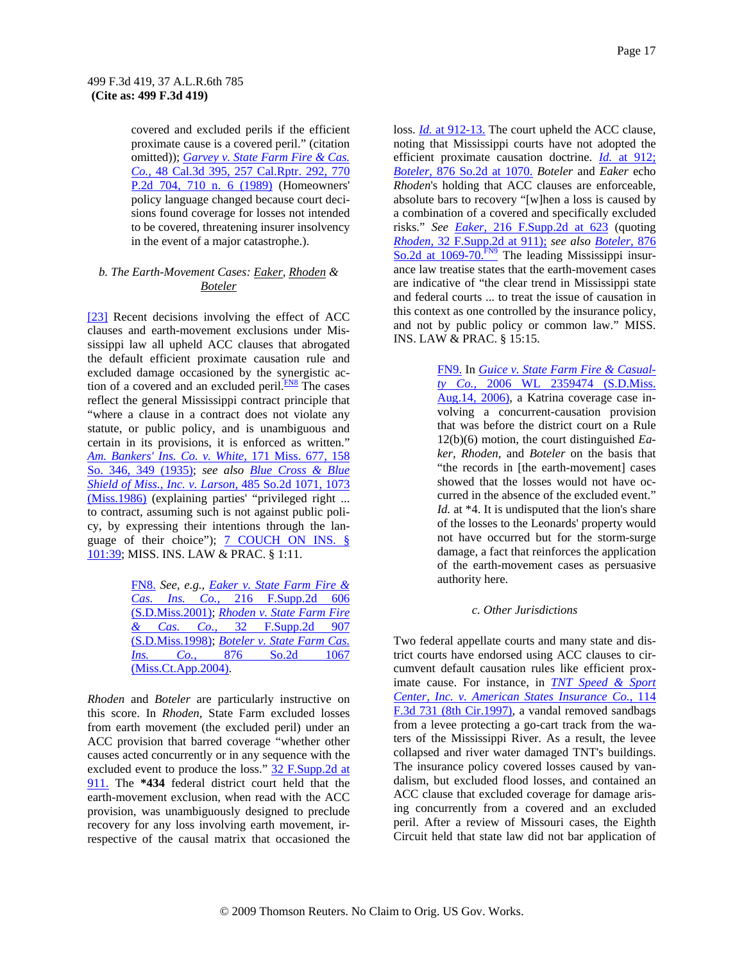covered and excluded perils if the efficient proximate cause is a covered peril." (citation omitted)); *Garvey v. State Farm Fire & Cas. Co.,* 48 Cal.3d 395, 257 Cal.Rptr. 292, 770 P.2d 704, 710 n. 6 (1989) (Homeowners' policy language changed because court decisions found coverage for losses not intended to be covered, threatening insurer insolvency in the event of a major catastrophe.).

### *b. The Earth-Movement Cases: Eaker, Rhoden & Boteler*

[23] Recent decisions involving the effect of ACC clauses and earth-movement exclusions under Mississippi law all upheld ACC clauses that abrogated the default efficient proximate causation rule and excluded damage occasioned by the synergistic action of a covered and an excluded peril. $\frac{FN8}{FN8}$  The cases reflect the general Mississippi contract principle that "where a clause in a contract does not violate any statute, or public policy, and is unambiguous and certain in its provisions, it is enforced as written." *Am. Bankers' Ins. Co. v. White,* 171 Miss. 677, 158 So. 346, 349 (1935); *see also Blue Cross & Blue Shield of Miss., Inc. v. Larson,* 485 So.2d 1071, 1073 (Miss.1986) (explaining parties' "privileged right ... to contract, assuming such is not against public policy, by expressing their intentions through the language of their choice"); 7 COUCH ON INS. § 101:39; MISS. INS. LAW & PRAC. § 1:11.

> FN8. *See, e.g., Eaker v. State Farm Fire & Cas. Ins. Co.,* 216 F.Supp.2d 606 (S.D.Miss.2001); *Rhoden v. State Farm Fire & Cas. Co.,* 32 F.Supp.2d 907 (S.D.Miss.1998); *Boteler v. State Farm Cas. Ins. Co.,* 876 So.2d 1067 (Miss.Ct.App.2004).

*Rhoden* and *Boteler* are particularly instructive on this score. In *Rhoden,* State Farm excluded losses from earth movement (the excluded peril) under an ACC provision that barred coverage "whether other causes acted concurrently or in any sequence with the excluded event to produce the loss." 32 F.Supp.2d at 911. The **\*434** federal district court held that the earth-movement exclusion, when read with the ACC provision, was unambiguously designed to preclude recovery for any loss involving earth movement, irrespective of the causal matrix that occasioned the loss. *Id.* at 912-13. The court upheld the ACC clause, noting that Mississippi courts have not adopted the efficient proximate causation doctrine. *Id.* at 912; *Boteler,* 876 So.2d at 1070. *Boteler* and *Eaker* echo *Rhoden*'s holding that ACC clauses are enforceable, absolute bars to recovery "[w]hen a loss is caused by a combination of a covered and specifically excluded risks." *See Eaker,* 216 F.Supp.2d at 623 (quoting *Rhoden,* 32 F.Supp.2d at 911); *see also Boteler,* 876 So.2d at 1069-70.<sup>FN9</sup> The leading Mississippi insurance law treatise states that the earth-movement cases are indicative of "the clear trend in Mississippi state and federal courts ... to treat the issue of causation in this context as one controlled by the insurance policy, and not by public policy or common law." MISS. INS. LAW & PRAC. § 15:15.

> FN9. In *Guice v. State Farm Fire & Casualty Co.,* 2006 WL 2359474 (S.D.Miss. Aug.14, 2006), a Katrina coverage case involving a concurrent-causation provision that was before the district court on a Rule 12(b)(6) motion, the court distinguished *Eaker, Rhoden*, and *Boteler* on the basis that "the records in [the earth-movement] cases showed that the losses would not have occurred in the absence of the excluded event." *Id.* at \*4. It is undisputed that the lion's share of the losses to the Leonards' property would not have occurred but for the storm-surge damage, a fact that reinforces the application of the earth-movement cases as persuasive authority here.

#### *c. Other Jurisdictions*

Two federal appellate courts and many state and district courts have endorsed using ACC clauses to circumvent default causation rules like efficient proximate cause. For instance, in *TNT Speed & Sport Center, Inc. v. American States Insurance Co.,* 114 F.3d 731 (8th Cir.1997), a vandal removed sandbags from a levee protecting a go-cart track from the waters of the Mississippi River. As a result, the levee collapsed and river water damaged TNT's buildings. The insurance policy covered losses caused by vandalism, but excluded flood losses, and contained an ACC clause that excluded coverage for damage arising concurrently from a covered and an excluded peril. After a review of Missouri cases, the Eighth Circuit held that state law did not bar application of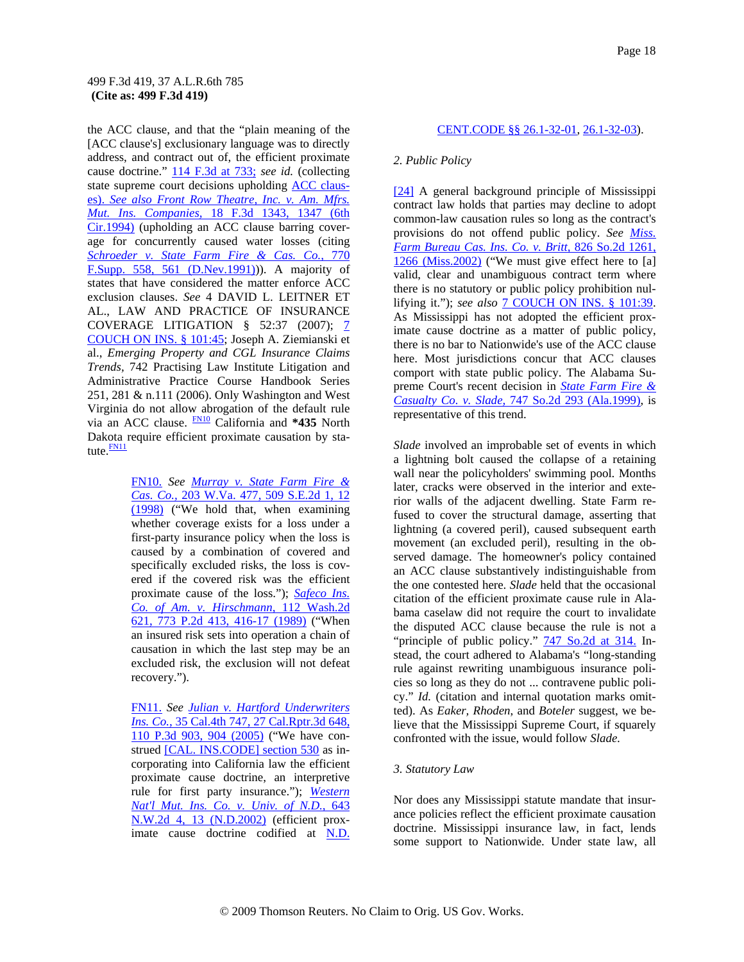the ACC clause, and that the "plain meaning of the [ACC clause's] exclusionary language was to directly address, and contract out of, the efficient proximate cause doctrine." 114 F.3d at 733; *see id.* (collecting state supreme court decisions upholding ACC clauses). *See also Front Row Theatre, Inc. v. Am. Mfrs. Mut. Ins. Companies,* 18 F.3d 1343, 1347 (6th Cir.1994) (upholding an ACC clause barring coverage for concurrently caused water losses (citing *Schroeder v. State Farm Fire & Cas. Co.,* 770 F.Supp. 558, 561 (D.Nev.1991))). A majority of states that have considered the matter enforce ACC exclusion clauses. *See* 4 DAVID L. LEITNER ET AL., LAW AND PRACTICE OF INSURANCE COVERAGE LITIGATION § 52:37 (2007); 7 COUCH ON INS. § 101:45; Joseph A. Ziemianski et al., *Emerging Property and CGL Insurance Claims Trends,* 742 Practising Law Institute Litigation and Administrative Practice Course Handbook Series 251, 281 & n.111 (2006). Only Washington and West Virginia do not allow abrogation of the default rule via an ACC clause. FN10 California and **\*435** North Dakota require efficient proximate causation by statute. **FN11** 

> FN10. *See Murray v. State Farm Fire & Cas. Co.,* 203 W.Va. 477, 509 S.E.2d 1, 12 (1998) ("We hold that, when examining whether coverage exists for a loss under a first-party insurance policy when the loss is caused by a combination of covered and specifically excluded risks, the loss is covered if the covered risk was the efficient proximate cause of the loss."); *Safeco Ins. Co. of Am. v. Hirschmann,* 112 Wash.2d 621, 773 P.2d 413, 416-17 (1989) ("When an insured risk sets into operation a chain of causation in which the last step may be an excluded risk, the exclusion will not defeat recovery.").

> FN11. *See Julian v. Hartford Underwriters Ins. Co.,* 35 Cal.4th 747, 27 Cal.Rptr.3d 648, 110 P.3d 903, 904 (2005) ("We have construed [CAL. INS.CODE] section 530 as incorporating into California law the efficient proximate cause doctrine, an interpretive rule for first party insurance."); *Western Nat'l Mut. Ins. Co. v. Univ. of N.D.,* 643 N.W.2d 4, 13 (N.D.2002) (efficient proximate cause doctrine codified at N.D.

#### CENT.CODE §§ 26.1-32-01, 26.1-32-03).

#### *2. Public Policy*

[24] A general background principle of Mississippi contract law holds that parties may decline to adopt common-law causation rules so long as the contract's provisions do not offend public policy. *See Miss. Farm Bureau Cas. Ins. Co. v. Britt,* 826 So.2d 1261, 1266 (Miss.2002) ("We must give effect here to [a] valid, clear and unambiguous contract term where there is no statutory or public policy prohibition nullifying it."); *see also* 7 COUCH ON INS. § 101:39. As Mississippi has not adopted the efficient proximate cause doctrine as a matter of public policy, there is no bar to Nationwide's use of the ACC clause here. Most jurisdictions concur that ACC clauses comport with state public policy. The Alabama Supreme Court's recent decision in *State Farm Fire & Casualty Co. v. Slade,* 747 So.2d 293 (Ala.1999), is representative of this trend.

*Slade* involved an improbable set of events in which a lightning bolt caused the collapse of a retaining wall near the policyholders' swimming pool. Months later, cracks were observed in the interior and exterior walls of the adjacent dwelling. State Farm refused to cover the structural damage, asserting that lightning (a covered peril), caused subsequent earth movement (an excluded peril), resulting in the observed damage. The homeowner's policy contained an ACC clause substantively indistinguishable from the one contested here. *Slade* held that the occasional citation of the efficient proximate cause rule in Alabama caselaw did not require the court to invalidate the disputed ACC clause because the rule is not a "principle of public policy." **747 So.2d at 314.** Instead, the court adhered to Alabama's "long-standing rule against rewriting unambiguous insurance policies so long as they do not ... contravene public policy." *Id.* (citation and internal quotation marks omitted). As *Eaker, Rhoden*, and *Boteler* suggest, we believe that the Mississippi Supreme Court, if squarely confronted with the issue, would follow *Slade.*

#### *3. Statutory Law*

Nor does any Mississippi statute mandate that insurance policies reflect the efficient proximate causation doctrine. Mississippi insurance law, in fact, lends some support to Nationwide. Under state law, all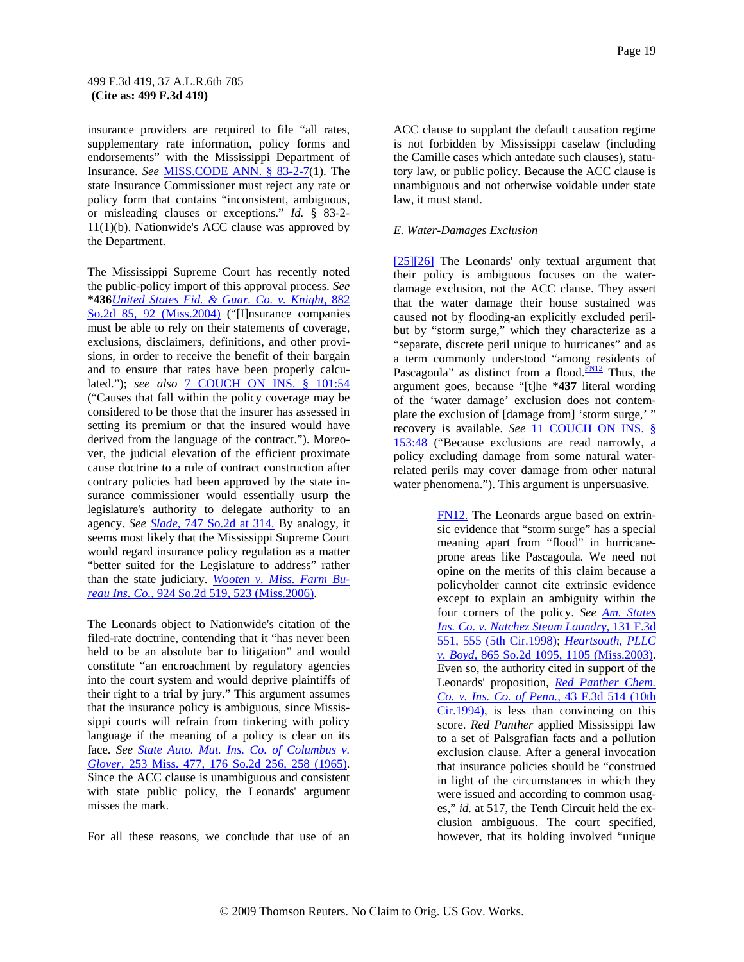insurance providers are required to file "all rates, supplementary rate information, policy forms and endorsements" with the Mississippi Department of Insurance. *See* MISS.CODE ANN. § 83-2-7(1). The state Insurance Commissioner must reject any rate or policy form that contains "inconsistent, ambiguous, or misleading clauses or exceptions." *Id.* § 83-2- 11(1)(b). Nationwide's ACC clause was approved by the Department.

The Mississippi Supreme Court has recently noted the public-policy import of this approval process. *See*  **\*436***United States Fid. & Guar. Co. v. Knight,* 882 So.2d 85, 92 (Miss.2004) ("[I]nsurance companies must be able to rely on their statements of coverage, exclusions, disclaimers, definitions, and other provisions, in order to receive the benefit of their bargain and to ensure that rates have been properly calculated."); *see also* 7 COUCH ON INS. § 101:54 ("Causes that fall within the policy coverage may be considered to be those that the insurer has assessed in setting its premium or that the insured would have derived from the language of the contract."). Moreover, the judicial elevation of the efficient proximate cause doctrine to a rule of contract construction after contrary policies had been approved by the state insurance commissioner would essentially usurp the legislature's authority to delegate authority to an agency. *See Slade,* 747 So.2d at 314. By analogy, it seems most likely that the Mississippi Supreme Court would regard insurance policy regulation as a matter "better suited for the Legislature to address" rather than the state judiciary. *Wooten v. Miss. Farm Bureau Ins. Co.,* 924 So.2d 519, 523 (Miss.2006).

The Leonards object to Nationwide's citation of the filed-rate doctrine, contending that it "has never been held to be an absolute bar to litigation" and would constitute "an encroachment by regulatory agencies into the court system and would deprive plaintiffs of their right to a trial by jury." This argument assumes that the insurance policy is ambiguous, since Mississippi courts will refrain from tinkering with policy language if the meaning of a policy is clear on its face. *See State Auto. Mut. Ins. Co. of Columbus v. Glover,* 253 Miss. 477, 176 So.2d 256, 258 (1965). Since the ACC clause is unambiguous and consistent with state public policy, the Leonards' argument misses the mark.

For all these reasons, we conclude that use of an

ACC clause to supplant the default causation regime is not forbidden by Mississippi caselaw (including the Camille cases which antedate such clauses), statutory law, or public policy. Because the ACC clause is unambiguous and not otherwise voidable under state law, it must stand.

#### *E. Water-Damages Exclusion*

[25][26] The Leonards' only textual argument that their policy is ambiguous focuses on the waterdamage exclusion, not the ACC clause. They assert that the water damage their house sustained was caused not by flooding-an explicitly excluded perilbut by "storm surge," which they characterize as a "separate, discrete peril unique to hurricanes" and as a term commonly understood "among residents of Pascagoula" as distinct from a flood. $\frac{FNI2}{N}$  Thus, the argument goes, because "[t]he **\*437** literal wording of the 'water damage' exclusion does not contemplate the exclusion of [damage from] 'storm surge,' " recovery is available. *See* 11 COUCH ON INS. § 153:48 ("Because exclusions are read narrowly, a policy excluding damage from some natural waterrelated perils may cover damage from other natural water phenomena."). This argument is unpersuasive.

> FN12. The Leonards argue based on extrinsic evidence that "storm surge" has a special meaning apart from "flood" in hurricaneprone areas like Pascagoula. We need not opine on the merits of this claim because a policyholder cannot cite extrinsic evidence except to explain an ambiguity within the four corners of the policy. *See Am. States Ins. Co. v. Natchez Steam Laundry,* 131 F.3d 551, 555 (5th Cir.1998); *Heartsouth, PLLC v. Boyd,* 865 So.2d 1095, 1105 (Miss.2003). Even so, the authority cited in support of the Leonards' proposition, *Red Panther Chem. Co. v. Ins. Co. of Penn.,* 43 F.3d 514 (10th Cir.1994), is less than convincing on this score. *Red Panther* applied Mississippi law to a set of Palsgrafian facts and a pollution exclusion clause. After a general invocation that insurance policies should be "construed in light of the circumstances in which they were issued and according to common usages," *id.* at 517, the Tenth Circuit held the exclusion ambiguous. The court specified, however, that its holding involved "unique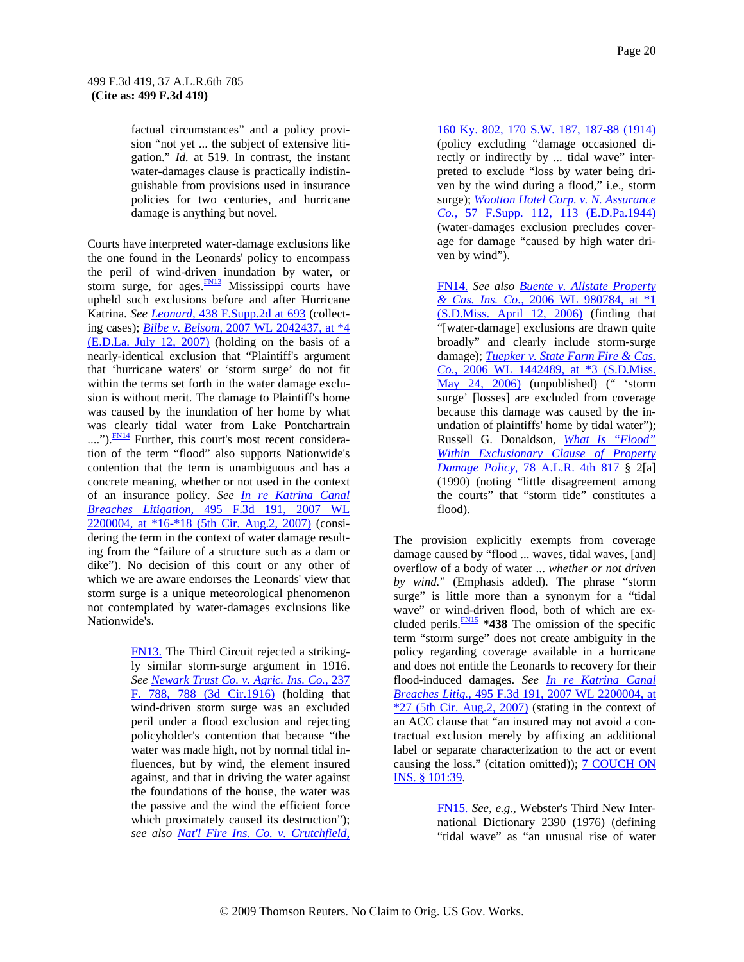factual circumstances" and a policy provision "not yet ... the subject of extensive litigation." *Id.* at 519. In contrast, the instant water-damages clause is practically indistinguishable from provisions used in insurance policies for two centuries, and hurricane damage is anything but novel.

Courts have interpreted water-damage exclusions like the one found in the Leonards' policy to encompass the peril of wind-driven inundation by water, or storm surge, for ages. $\frac{FN13}{FN13}$  Mississippi courts have upheld such exclusions before and after Hurricane Katrina. *See Leonard,* 438 F.Supp.2d at 693 (collecting cases); *Bilbe v. Belsom,* 2007 WL 2042437, at \*4 (E.D.La. July 12, 2007) (holding on the basis of a nearly-identical exclusion that "Plaintiff's argument that 'hurricane waters' or 'storm surge' do not fit within the terms set forth in the water damage exclusion is without merit. The damage to Plaintiff's home was caused by the inundation of her home by what was clearly tidal water from Lake Pontchartrain ....").<sup>FN14</sup> Further, this court's most recent consideration of the term "flood" also supports Nationwide's contention that the term is unambiguous and has a concrete meaning, whether or not used in the context of an insurance policy. *See In re Katrina Canal Breaches Litigation,* 495 F.3d 191, 2007 WL 2200004, at \*16-\*18 (5th Cir. Aug.2, 2007) (considering the term in the context of water damage resulting from the "failure of a structure such as a dam or dike"). No decision of this court or any other of which we are aware endorses the Leonards' view that storm surge is a unique meteorological phenomenon not contemplated by water-damages exclusions like Nationwide's.

> FN13. The Third Circuit rejected a strikingly similar storm-surge argument in 1916. *See Newark Trust Co. v. Agric. Ins. Co.,* 237 F. 788, 788 (3d Cir.1916) (holding that wind-driven storm surge was an excluded peril under a flood exclusion and rejecting policyholder's contention that because "the water was made high, not by normal tidal influences, but by wind, the element insured against, and that in driving the water against the foundations of the house, the water was the passive and the wind the efficient force which proximately caused its destruction"); *see also Nat'l Fire Ins. Co. v. Crutchfield,*

160 Ky. 802, 170 S.W. 187, 187-88 (1914) (policy excluding "damage occasioned directly or indirectly by ... tidal wave" interpreted to exclude "loss by water being driven by the wind during a flood," i.e., storm surge); *Wootton Hotel Corp. v. N. Assurance Co.,* 57 F.Supp. 112, 113 (E.D.Pa.1944) (water-damages exclusion precludes coverage for damage "caused by high water driven by wind").

FN14. *See also Buente v. Allstate Property & Cas. Ins. Co.,* 2006 WL 980784, at \*1 (S.D.Miss. April 12, 2006) (finding that "[water-damage] exclusions are drawn quite broadly" and clearly include storm-surge damage); *Tuepker v. State Farm Fire & Cas. Co.,* 2006 WL 1442489, at \*3 (S.D.Miss. May 24, 2006) (unpublished) (" 'storm surge' [losses] are excluded from coverage because this damage was caused by the inundation of plaintiffs' home by tidal water"); Russell G. Donaldson, *What Is "Flood" Within Exclusionary Clause of Property Damage Policy,* 78 A.L.R. 4th 817 § 2[a] (1990) (noting "little disagreement among the courts" that "storm tide" constitutes a flood).

The provision explicitly exempts from coverage damage caused by "flood ... waves, tidal waves, [and] overflow of a body of water ... *whether or not driven by wind.*" (Emphasis added). The phrase "storm surge" is little more than a synonym for a "tidal wave" or wind-driven flood, both of which are excluded perils. $\frac{FN}{2}$  \*438 The omission of the specific term "storm surge" does not create ambiguity in the policy regarding coverage available in a hurricane and does not entitle the Leonards to recovery for their flood-induced damages. *See In re Katrina Canal Breaches Litig.,* 495 F.3d 191, 2007 WL 2200004, at  $*27$  (5th Cir. Aug.2, 2007) (stating in the context of an ACC clause that "an insured may not avoid a contractual exclusion merely by affixing an additional label or separate characterization to the act or event causing the loss." (citation omitted)); **7 COUCH ON** INS. § 101:39.

> FN15. *See, e.g.,* Webster's Third New International Dictionary 2390 (1976) (defining "tidal wave" as "an unusual rise of water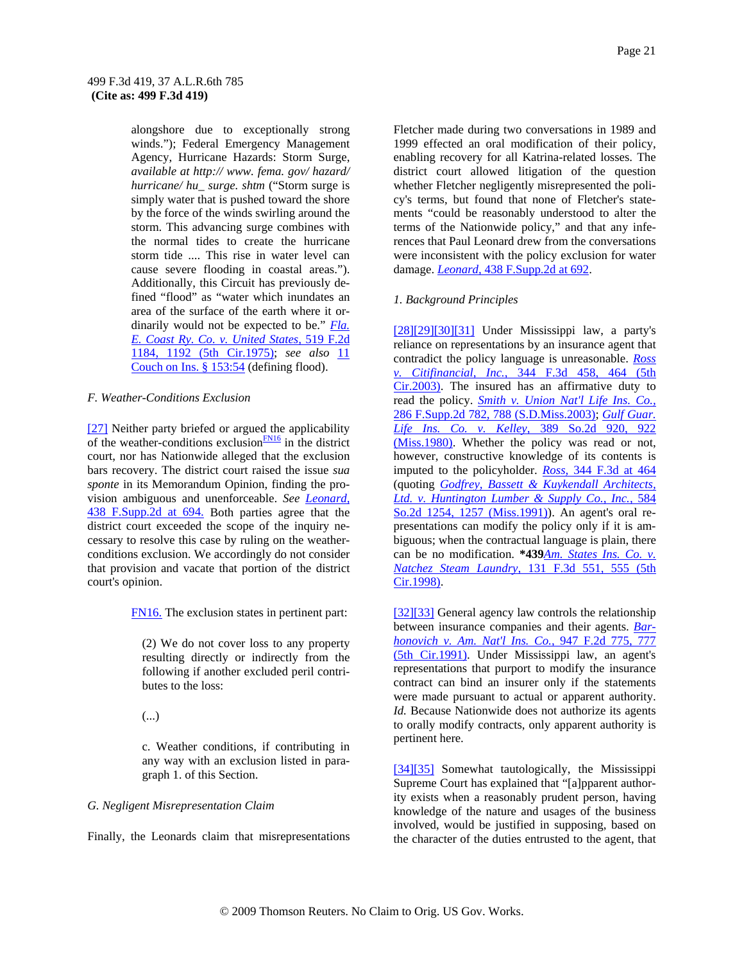alongshore due to exceptionally strong winds."); Federal Emergency Management Agency, Hurricane Hazards: Storm Surge, *available at http:// www. fema. gov/ hazard/ hurricane/ hu\_ surge. shtm* ("Storm surge is simply water that is pushed toward the shore by the force of the winds swirling around the storm. This advancing surge combines with the normal tides to create the hurricane storm tide .... This rise in water level can cause severe flooding in coastal areas."). Additionally, this Circuit has previously defined "flood" as "water which inundates an area of the surface of the earth where it ordinarily would not be expected to be." *Fla. E. Coast Ry. Co. v. United States,* 519 F.2d 1184, 1192 (5th Cir.1975); *see also* 11 Couch on Ins. § 153:54 (defining flood).

#### *F. Weather-Conditions Exclusion*

[27] Neither party briefed or argued the applicability of the weather-conditions exclusion $\frac{FN16}{FN16}$  in the district court, nor has Nationwide alleged that the exclusion bars recovery. The district court raised the issue *sua sponte* in its Memorandum Opinion, finding the provision ambiguous and unenforceable. *See Leonard,* 438 F.Supp.2d at 694. Both parties agree that the district court exceeded the scope of the inquiry necessary to resolve this case by ruling on the weatherconditions exclusion. We accordingly do not consider that provision and vacate that portion of the district court's opinion.

FN16. The exclusion states in pertinent part:

(2) We do not cover loss to any property resulting directly or indirectly from the following if another excluded peril contributes to the loss:

(...)

c. Weather conditions, if contributing in any way with an exclusion listed in paragraph 1. of this Section.

#### *G. Negligent Misrepresentation Claim*

Finally, the Leonards claim that misrepresentations

Fletcher made during two conversations in 1989 and 1999 effected an oral modification of their policy, enabling recovery for all Katrina-related losses. The district court allowed litigation of the question whether Fletcher negligently misrepresented the policy's terms, but found that none of Fletcher's statements "could be reasonably understood to alter the terms of the Nationwide policy," and that any inferences that Paul Leonard drew from the conversations were inconsistent with the policy exclusion for water damage. *Leonard,* 438 F.Supp.2d at 692.

### *1. Background Principles*

[28][29][30][31] Under Mississippi law, a party's reliance on representations by an insurance agent that contradict the policy language is unreasonable. *Ross v. Citifinancial, Inc.,* 344 F.3d 458, 464 (5th  $Cir.2003$ ). The insured has an affirmative duty to read the policy. *Smith v. Union Nat'l Life Ins. Co.,* 286 F.Supp.2d 782, 788 (S.D.Miss.2003); *Gulf Guar. Life Ins. Co. v. Kelley,* 389 So.2d 920, 922 (Miss.1980). Whether the policy was read or not, however, constructive knowledge of its contents is imputed to the policyholder. *Ross,* 344 F.3d at 464 (quoting *Godfrey, Bassett & Kuykendall Architects, Ltd. v. Huntington Lumber & Supply Co., Inc.,* 584 So.2d 1254, 1257 (Miss.1991)). An agent's oral representations can modify the policy only if it is ambiguous; when the contractual language is plain, there can be no modification. **\*439***Am. States Ins. Co. v. Natchez Steam Laundry,* 131 F.3d 551, 555 (5th Cir.1998).

[32][33] General agency law controls the relationship between insurance companies and their agents. *Barhonovich v. Am. Nat'l Ins. Co.,* 947 F.2d 775, 777 (5th Cir.1991). Under Mississippi law, an agent's representations that purport to modify the insurance contract can bind an insurer only if the statements were made pursuant to actual or apparent authority. *Id.* Because Nationwide does not authorize its agents to orally modify contracts, only apparent authority is pertinent here.

[34][35] Somewhat tautologically, the Mississippi Supreme Court has explained that "[a]pparent authority exists when a reasonably prudent person, having knowledge of the nature and usages of the business involved, would be justified in supposing, based on the character of the duties entrusted to the agent, that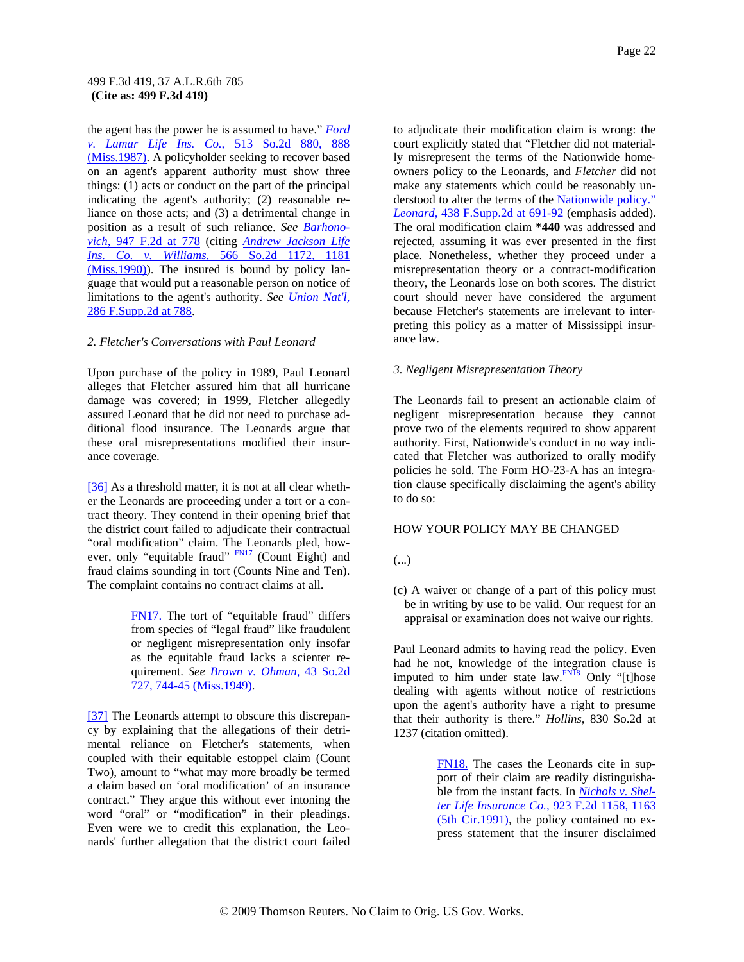the agent has the power he is assumed to have." *Ford v. Lamar Life Ins. Co.,* 513 So.2d 880, 888 (Miss.1987). A policyholder seeking to recover based on an agent's apparent authority must show three things: (1) acts or conduct on the part of the principal indicating the agent's authority; (2) reasonable reliance on those acts; and (3) a detrimental change in position as a result of such reliance. *See Barhonovich,* 947 F.2d at 778 (citing *Andrew Jackson Life Ins. Co. v. Williams,* 566 So.2d 1172, 1181 (Miss.1990)). The insured is bound by policy language that would put a reasonable person on notice of limitations to the agent's authority. *See Union Nat'l,* 286 F.Supp.2d at 788.

#### *2. Fletcher's Conversations with Paul Leonard*

Upon purchase of the policy in 1989, Paul Leonard alleges that Fletcher assured him that all hurricane damage was covered; in 1999, Fletcher allegedly assured Leonard that he did not need to purchase additional flood insurance. The Leonards argue that these oral misrepresentations modified their insurance coverage.

[36] As a threshold matter, it is not at all clear whether the Leonards are proceeding under a tort or a contract theory. They contend in their opening brief that the district court failed to adjudicate their contractual "oral modification" claim. The Leonards pled, however, only "equitable fraud"  $\frac{FNI7}{FNI7}$  (Count Eight) and fraud claims sounding in tort (Counts Nine and Ten). The complaint contains no contract claims at all.

> FN17. The tort of "equitable fraud" differs from species of "legal fraud" like fraudulent or negligent misrepresentation only insofar as the equitable fraud lacks a scienter requirement. *See Brown v. Ohman,* 43 So.2d 727, 744-45 (Miss.1949).

[37] The Leonards attempt to obscure this discrepancy by explaining that the allegations of their detrimental reliance on Fletcher's statements, when coupled with their equitable estoppel claim (Count Two), amount to "what may more broadly be termed a claim based on 'oral modification' of an insurance contract." They argue this without ever intoning the word "oral" or "modification" in their pleadings. Even were we to credit this explanation, the Leonards' further allegation that the district court failed

to adjudicate their modification claim is wrong: the court explicitly stated that "Fletcher did not materially misrepresent the terms of the Nationwide homeowners policy to the Leonards, and *Fletcher* did not make any statements which could be reasonably understood to alter the terms of the Nationwide policy." *Leonard,* 438 F.Supp.2d at 691-92 (emphasis added). The oral modification claim **\*440** was addressed and rejected, assuming it was ever presented in the first place. Nonetheless, whether they proceed under a misrepresentation theory or a contract-modification theory, the Leonards lose on both scores. The district court should never have considered the argument because Fletcher's statements are irrelevant to interpreting this policy as a matter of Mississippi insurance law.

#### *3. Negligent Misrepresentation Theory*

The Leonards fail to present an actionable claim of negligent misrepresentation because they cannot prove two of the elements required to show apparent authority. First, Nationwide's conduct in no way indicated that Fletcher was authorized to orally modify policies he sold. The Form HO-23-A has an integration clause specifically disclaiming the agent's ability to do so:

### HOW YOUR POLICY MAY BE CHANGED

- (...)
- (c) A waiver or change of a part of this policy must be in writing by use to be valid. Our request for an appraisal or examination does not waive our rights.

Paul Leonard admits to having read the policy. Even had he not, knowledge of the integration clause is imputed to him under state law. $\frac{FN18}{FN18}$  Only "[t]hose dealing with agents without notice of restrictions upon the agent's authority have a right to presume that their authority is there." *Hollins,* 830 So.2d at 1237 (citation omitted).

> FN18. The cases the Leonards cite in support of their claim are readily distinguishable from the instant facts. In *Nichols v. Shelter Life Insurance Co.,* 923 F.2d 1158, 1163 (5th Cir.1991), the policy contained no express statement that the insurer disclaimed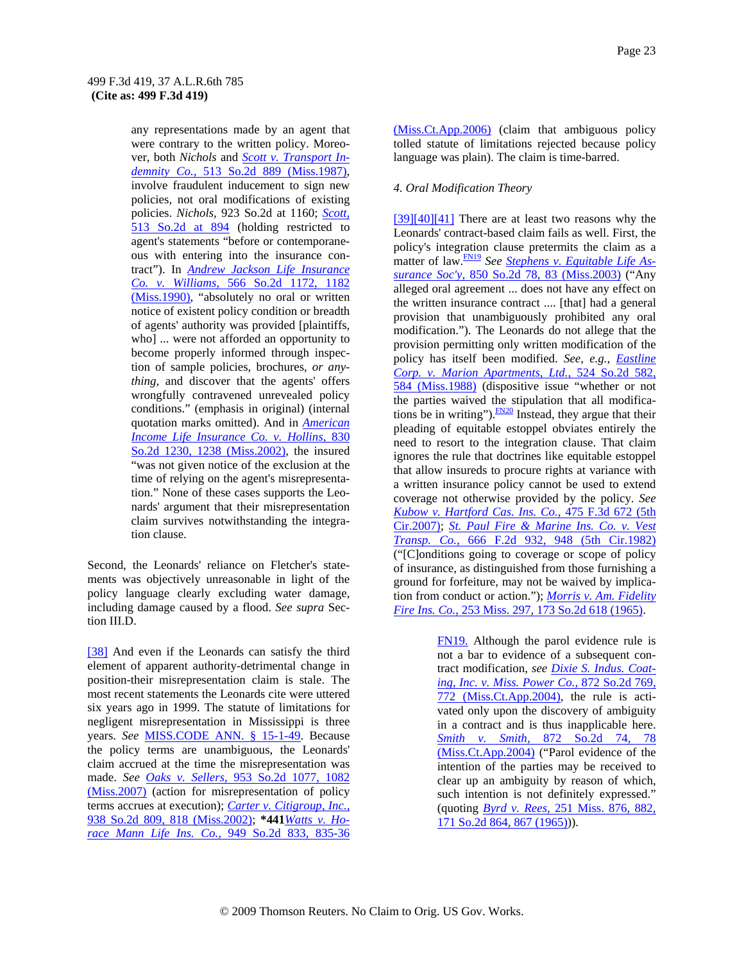any representations made by an agent that were contrary to the written policy. Moreover, both *Nichols* and *Scott v. Transport Indemnity Co.,* 513 So.2d 889 (Miss.1987), involve fraudulent inducement to sign new policies, not oral modifications of existing policies. *Nichols,* 923 So.2d at 1160; *Scott,* 513 So.2d at 894 (holding restricted to agent's statements "before or contemporaneous with entering into the insurance contract"). In *Andrew Jackson Life Insurance Co. v. Williams,* 566 So.2d 1172, 1182 (Miss.1990), "absolutely no oral or written notice of existent policy condition or breadth of agents' authority was provided [plaintiffs, who] ... were not afforded an opportunity to become properly informed through inspection of sample policies, brochures, *or anything,* and discover that the agents' offers wrongfully contravened unrevealed policy conditions." (emphasis in original) (internal quotation marks omitted). And in *American Income Life Insurance Co. v. Hollins,* 830 So.2d 1230, 1238 (Miss.2002), the insured "was not given notice of the exclusion at the time of relying on the agent's misrepresentation." None of these cases supports the Leonards' argument that their misrepresentation claim survives notwithstanding the integration clause.

Second, the Leonards' reliance on Fletcher's statements was objectively unreasonable in light of the policy language clearly excluding water damage, including damage caused by a flood. *See supra* Section III.D.

[38] And even if the Leonards can satisfy the third element of apparent authority-detrimental change in position-their misrepresentation claim is stale. The most recent statements the Leonards cite were uttered six years ago in 1999. The statute of limitations for negligent misrepresentation in Mississippi is three years. *See* MISS.CODE ANN. § 15-1-49. Because the policy terms are unambiguous, the Leonards' claim accrued at the time the misrepresentation was made. *See Oaks v. Sellers,* 953 So.2d 1077, 1082 (Miss.2007) (action for misrepresentation of policy terms accrues at execution); *Carter v. Citigroup, Inc.,* 938 So.2d 809, 818 (Miss.2002); **\*441***Watts v. Horace Mann Life Ins. Co.,* 949 So.2d 833, 835-36

(Miss.Ct.App.2006) (claim that ambiguous policy tolled statute of limitations rejected because policy language was plain). The claim is time-barred.

### *4. Oral Modification Theory*

[39][40][41] There are at least two reasons why the Leonards' contract-based claim fails as well. First, the policy's integration clause pretermits the claim as a matter of law.FN19 *See Stephens v. Equitable Life Assurance Soc'y,* 850 So.2d 78, 83 (Miss.2003) ("Any alleged oral agreement ... does not have any effect on the written insurance contract .... [that] had a general provision that unambiguously prohibited any oral modification."). The Leonards do not allege that the provision permitting only written modification of the policy has itself been modified. *See, e.g., Eastline Corp. v. Marion Apartments, Ltd.,* 524 So.2d 582, 584 (Miss.1988) (dispositive issue "whether or not the parties waived the stipulation that all modifications be in writing"). $\frac{FN20}{FN20}$  Instead, they argue that their pleading of equitable estoppel obviates entirely the need to resort to the integration clause. That claim ignores the rule that doctrines like equitable estoppel that allow insureds to procure rights at variance with a written insurance policy cannot be used to extend coverage not otherwise provided by the policy. *See Kubow v. Hartford Cas. Ins. Co.,* 475 F.3d 672 (5th Cir.2007); *St. Paul Fire & Marine Ins. Co. v. Vest Transp. Co.,* 666 F.2d 932, 948 (5th Cir.1982) ("[C]onditions going to coverage or scope of policy of insurance, as distinguished from those furnishing a ground for forfeiture, may not be waived by implication from conduct or action."); *Morris v. Am. Fidelity Fire Ins. Co.,* 253 Miss. 297, 173 So.2d 618 (1965).

> FN19. Although the parol evidence rule is not a bar to evidence of a subsequent contract modification, *see Dixie S. Indus. Coating, Inc. v. Miss. Power Co.,* 872 So.2d 769, 772 (Miss.Ct.App.2004), the rule is activated only upon the discovery of ambiguity in a contract and is thus inapplicable here. *Smith v. Smith,* 872 So.2d 74, 78 (Miss.Ct.App.2004) ("Parol evidence of the intention of the parties may be received to clear up an ambiguity by reason of which, such intention is not definitely expressed." (quoting *Byrd v. Rees,* 251 Miss. 876, 882, 171 So.2d 864, 867 (1965))).